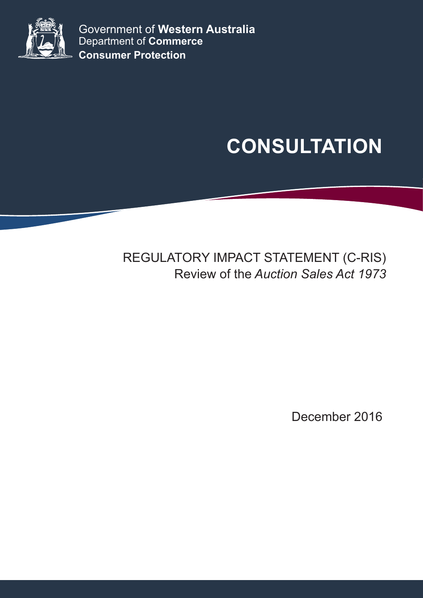

Government of **Western Australia** Department of **Commerce Consumer Protection**

# **CONSULTATION**

## REGULATORY IMPACT STATEMENT (C-RIS) Review of the *Auction Sales Act 1973*

December 2016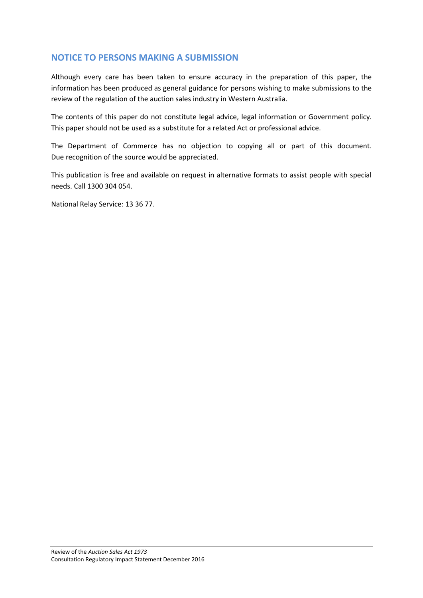## **NOTICE TO PERSONS MAKING A SUBMISSION**

Although every care has been taken to ensure accuracy in the preparation of this paper, the information has been produced as general guidance for persons wishing to make submissions to the review of the regulation of the auction sales industry in Western Australia.

The contents of this paper do not constitute legal advice, legal information or Government policy. This paper should not be used as a substitute for a related Act or professional advice.

The Department of Commerce has no objection to copying all or part of this document. Due recognition of the source would be appreciated.

This publication is free and available on request in alternative formats to assist people with special needs. Call 1300 304 054.

National Relay Service: 13 36 77.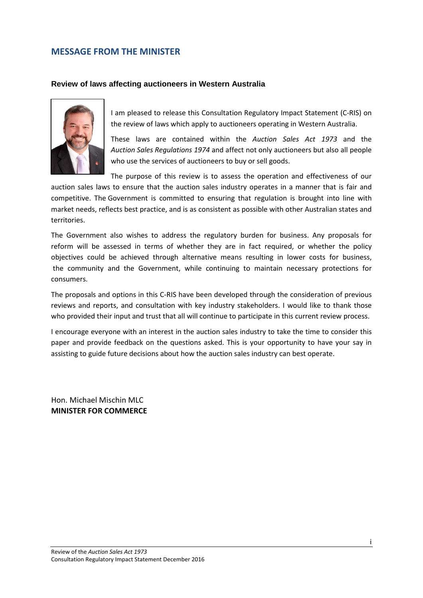#### <span id="page-2-0"></span>**MESSAGE FROM THE MINISTER**

#### **Review of laws affecting auctioneers in Western Australia**



I am pleased to release this Consultation Regulatory Impact Statement (C-RIS) on the review of laws which apply to auctioneers operating in Western Australia.

These laws are contained within the *Auction Sales Act 1973* and the *Auction Sales Regulations 1974* and affect not only auctioneers but also all people who use the services of auctioneers to buy or sell goods.

The purpose of this review is to assess the operation and effectiveness of our auction sales laws to ensure that the auction sales industry operates in a manner that is fair and competitive. The Government is committed to ensuring that regulation is brought into line with market needs, reflects best practice, and is as consistent as possible with other Australian states and territories.

The Government also wishes to address the regulatory burden for business. Any proposals for reform will be assessed in terms of whether they are in fact required, or whether the policy objectives could be achieved through alternative means resulting in lower costs for business, the community and the Government, while continuing to maintain necessary protections for consumers.

The proposals and options in this C-RIS have been developed through the consideration of previous reviews and reports, and consultation with key industry stakeholders. I would like to thank those who provided their input and trust that all will continue to participate in this current review process.

I encourage everyone with an interest in the auction sales industry to take the time to consider this paper and provide feedback on the questions asked. This is your opportunity to have your say in assisting to guide future decisions about how the auction sales industry can best operate.

Hon. Michael Mischin MLC **MINISTER FOR COMMERCE**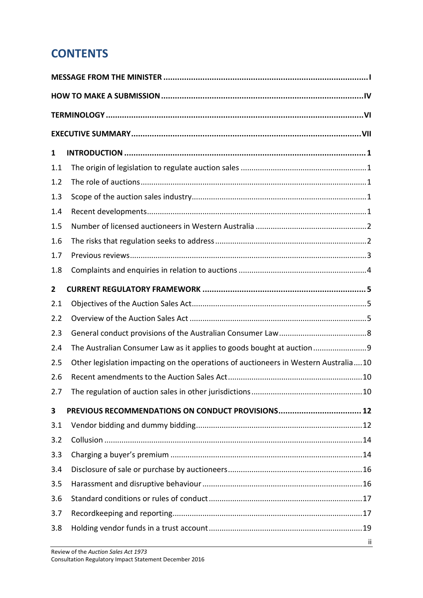## **CONTENTS**

| 1              |                                                                                     |  |  |  |  |
|----------------|-------------------------------------------------------------------------------------|--|--|--|--|
| 1.1            |                                                                                     |  |  |  |  |
| 1.2            |                                                                                     |  |  |  |  |
| 1.3            |                                                                                     |  |  |  |  |
| 1.4            |                                                                                     |  |  |  |  |
| 1.5            |                                                                                     |  |  |  |  |
| 1.6            |                                                                                     |  |  |  |  |
| 1.7            |                                                                                     |  |  |  |  |
| 1.8            |                                                                                     |  |  |  |  |
| $\overline{2}$ |                                                                                     |  |  |  |  |
| 2.1            |                                                                                     |  |  |  |  |
| 2.2            |                                                                                     |  |  |  |  |
| 2.3            |                                                                                     |  |  |  |  |
| 2.4            | The Australian Consumer Law as it applies to goods bought at auction9               |  |  |  |  |
| 2.5            | Other legislation impacting on the operations of auctioneers in Western Australia10 |  |  |  |  |
| 2.6            |                                                                                     |  |  |  |  |
| 2.7            |                                                                                     |  |  |  |  |
| 3              |                                                                                     |  |  |  |  |
| 3.1            |                                                                                     |  |  |  |  |
| 3.2            |                                                                                     |  |  |  |  |
| 3.3            |                                                                                     |  |  |  |  |
| 3.4            |                                                                                     |  |  |  |  |
| 3.5            |                                                                                     |  |  |  |  |
| 3.6            |                                                                                     |  |  |  |  |
| 3.7            |                                                                                     |  |  |  |  |
| 3.8            |                                                                                     |  |  |  |  |
|                | jj.                                                                                 |  |  |  |  |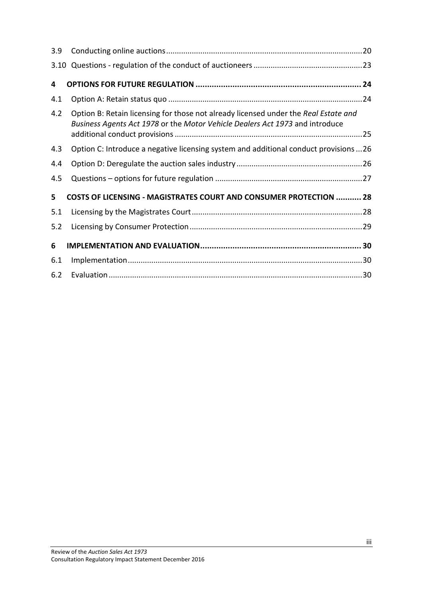| 3.9 |                                                                                                                                                                     |  |
|-----|---------------------------------------------------------------------------------------------------------------------------------------------------------------------|--|
|     |                                                                                                                                                                     |  |
| 4   |                                                                                                                                                                     |  |
| 4.1 |                                                                                                                                                                     |  |
| 4.2 | Option B: Retain licensing for those not already licensed under the Real Estate and<br>Business Agents Act 1978 or the Motor Vehicle Dealers Act 1973 and introduce |  |
| 4.3 | Option C: Introduce a negative licensing system and additional conduct provisions 26                                                                                |  |
| 4.4 |                                                                                                                                                                     |  |
| 4.5 |                                                                                                                                                                     |  |
| 5   | <b>COSTS OF LICENSING - MAGISTRATES COURT AND CONSUMER PROTECTION  28</b>                                                                                           |  |
| 5.1 |                                                                                                                                                                     |  |
| 5.2 |                                                                                                                                                                     |  |
| 6   |                                                                                                                                                                     |  |
| 6.1 |                                                                                                                                                                     |  |
| 6.2 |                                                                                                                                                                     |  |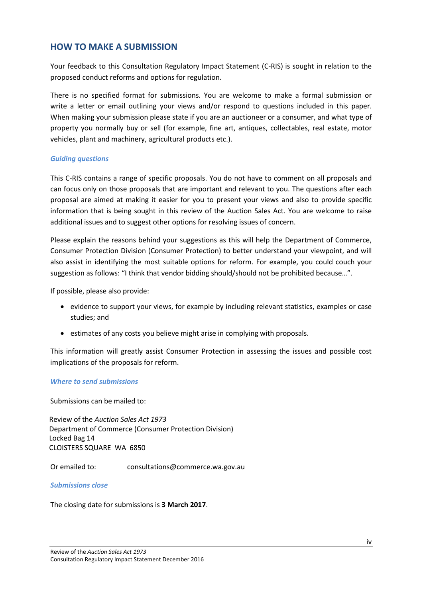## <span id="page-5-0"></span>**HOW TO MAKE A SUBMISSION**

Your feedback to this Consultation Regulatory Impact Statement (C-RIS) is sought in relation to the proposed conduct reforms and options for regulation.

There is no specified format for submissions. You are welcome to make a formal submission or write a letter or email outlining your views and/or respond to questions included in this paper. When making your submission please state if you are an auctioneer or a consumer, and what type of property you normally buy or sell (for example, fine art, antiques, collectables, real estate, motor vehicles, plant and machinery, agricultural products etc.).

#### *Guiding questions*

This C-RIS contains a range of specific proposals. You do not have to comment on all proposals and can focus only on those proposals that are important and relevant to you. The questions after each proposal are aimed at making it easier for you to present your views and also to provide specific information that is being sought in this review of the Auction Sales Act. You are welcome to raise additional issues and to suggest other options for resolving issues of concern.

Please explain the reasons behind your suggestions as this will help the Department of Commerce, Consumer Protection Division (Consumer Protection) to better understand your viewpoint, and will also assist in identifying the most suitable options for reform. For example, you could couch your suggestion as follows: "I think that vendor bidding should/should not be prohibited because…".

If possible, please also provide:

- evidence to support your views, for example by including relevant statistics, examples or case studies; and
- estimates of any costs you believe might arise in complying with proposals.

This information will greatly assist Consumer Protection in assessing the issues and possible cost implications of the proposals for reform.

#### *Where to send submissions*

Submissions can be mailed to:

Review of the *Auction Sales Act 1973* Department of Commerce (Consumer Protection Division) Locked Bag 14 CLOISTERS SQUARE WA 6850

Or emailed to: consultations@commerce.wa.gov.au

#### *Submissions close*

The closing date for submissions is **3 March 2017**.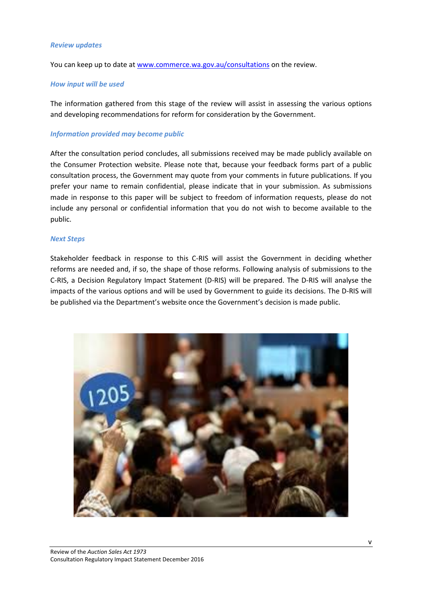#### *Review updates*

You can keep up to date at [www.commerce.wa.gov.au/consultations](http://www.commerce.wa.gov.au/consultations) on the review.

#### *How input will be used*

The information gathered from this stage of the review will assist in assessing the various options and developing recommendations for reform for consideration by the Government.

#### *Information provided may become public*

After the consultation period concludes, all submissions received may be made publicly available on the Consumer Protection website. Please note that, because your feedback forms part of a public consultation process, the Government may quote from your comments in future publications. If you prefer your name to remain confidential, please indicate that in your submission. As submissions made in response to this paper will be subject to freedom of information requests, please do not include any personal or confidential information that you do not wish to become available to the public.

#### *Next Steps*

Stakeholder feedback in response to this C-RIS will assist the Government in deciding whether reforms are needed and, if so, the shape of those reforms. Following analysis of submissions to the C-RIS, a Decision Regulatory Impact Statement (D-RIS) will be prepared. The D-RIS will analyse the impacts of the various options and will be used by Government to guide its decisions. The D-RIS will be published via the Department's website once the Government's decision is made public.

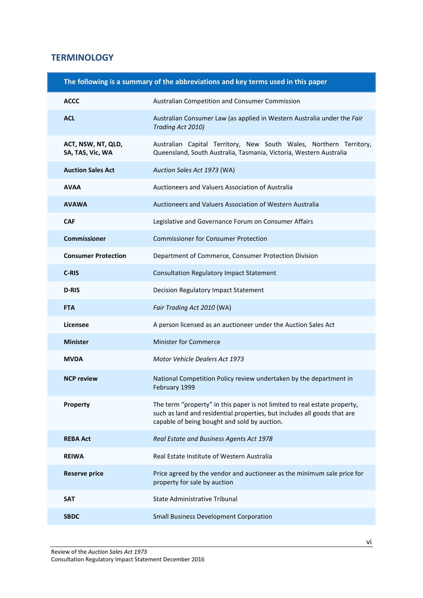## <span id="page-7-0"></span>**TERMINOLOGY**

| The following is a summary of the abbreviations and key terms used in this paper |                                                                                                                                                                                                       |  |  |  |
|----------------------------------------------------------------------------------|-------------------------------------------------------------------------------------------------------------------------------------------------------------------------------------------------------|--|--|--|
| <b>ACCC</b>                                                                      | Australian Competition and Consumer Commission                                                                                                                                                        |  |  |  |
| <b>ACL</b>                                                                       | Australian Consumer Law (as applied in Western Australia under the Fair<br>Trading Act 2010)                                                                                                          |  |  |  |
| ACT, NSW, NT, QLD,<br>SA, TAS, Vic, WA                                           | Australian Capital Territory, New South Wales, Northern Territory,<br>Queensland, South Australia, Tasmania, Victoria, Western Australia                                                              |  |  |  |
| <b>Auction Sales Act</b>                                                         | Auction Sales Act 1973 (WA)                                                                                                                                                                           |  |  |  |
| <b>AVAA</b>                                                                      | Auctioneers and Valuers Association of Australia                                                                                                                                                      |  |  |  |
| <b>AVAWA</b>                                                                     | Auctioneers and Valuers Association of Western Australia                                                                                                                                              |  |  |  |
| <b>CAF</b>                                                                       | Legislative and Governance Forum on Consumer Affairs                                                                                                                                                  |  |  |  |
| <b>Commissioner</b>                                                              | <b>Commissioner for Consumer Protection</b>                                                                                                                                                           |  |  |  |
| <b>Consumer Protection</b>                                                       | Department of Commerce, Consumer Protection Division                                                                                                                                                  |  |  |  |
| C-RIS                                                                            | <b>Consultation Regulatory Impact Statement</b>                                                                                                                                                       |  |  |  |
| <b>D-RIS</b>                                                                     | Decision Regulatory Impact Statement                                                                                                                                                                  |  |  |  |
| <b>FTA</b>                                                                       | Fair Trading Act 2010 (WA)                                                                                                                                                                            |  |  |  |
| Licensee                                                                         | A person licensed as an auctioneer under the Auction Sales Act                                                                                                                                        |  |  |  |
| <b>Minister</b>                                                                  | <b>Minister for Commerce</b>                                                                                                                                                                          |  |  |  |
| <b>MVDA</b>                                                                      | Motor Vehicle Dealers Act 1973                                                                                                                                                                        |  |  |  |
| <b>NCP review</b>                                                                | National Competition Policy review undertaken by the department in<br>February 1999                                                                                                                   |  |  |  |
| Property                                                                         | The term "property" in this paper is not limited to real estate property,<br>such as land and residential properties, but includes all goods that are<br>capable of being bought and sold by auction. |  |  |  |
| <b>REBA Act</b>                                                                  | Real Estate and Business Agents Act 1978                                                                                                                                                              |  |  |  |
| <b>REIWA</b>                                                                     | Real Estate Institute of Western Australia                                                                                                                                                            |  |  |  |
| <b>Reserve price</b>                                                             | Price agreed by the vendor and auctioneer as the minimum sale price for<br>property for sale by auction                                                                                               |  |  |  |
| <b>SAT</b>                                                                       | <b>State Administrative Tribunal</b>                                                                                                                                                                  |  |  |  |
| <b>SBDC</b>                                                                      | <b>Small Business Development Corporation</b>                                                                                                                                                         |  |  |  |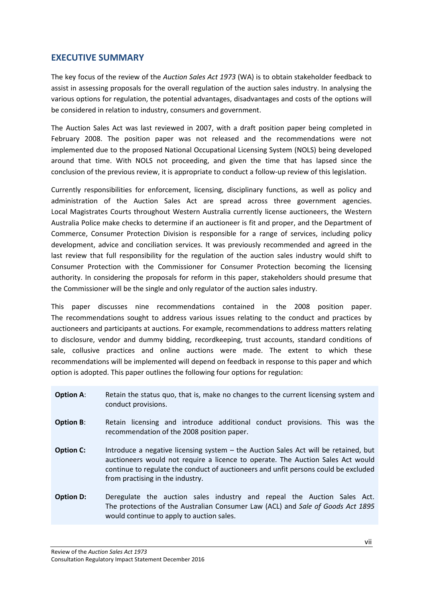### <span id="page-8-0"></span>**EXECUTIVE SUMMARY**

The key focus of the review of the *Auction Sales Act 1973* (WA) is to obtain stakeholder feedback to assist in assessing proposals for the overall regulation of the auction sales industry. In analysing the various options for regulation, the potential advantages, disadvantages and costs of the options will be considered in relation to industry, consumers and government.

The Auction Sales Act was last reviewed in 2007, with a draft position paper being completed in February 2008. The position paper was not released and the recommendations were not implemented due to the proposed National Occupational Licensing System (NOLS) being developed around that time. With NOLS not proceeding, and given the time that has lapsed since the conclusion of the previous review, it is appropriate to conduct a follow-up review of this legislation.

Currently responsibilities for enforcement, licensing, disciplinary functions, as well as policy and administration of the Auction Sales Act are spread across three government agencies. Local Magistrates Courts throughout Western Australia currently license auctioneers, the Western Australia Police make checks to determine if an auctioneer is fit and proper, and the Department of Commerce, Consumer Protection Division is responsible for a range of services, including policy development, advice and conciliation services. It was previously recommended and agreed in the last review that full responsibility for the regulation of the auction sales industry would shift to Consumer Protection with the Commissioner for Consumer Protection becoming the licensing authority. In considering the proposals for reform in this paper, stakeholders should presume that the Commissioner will be the single and only regulator of the auction sales industry.

This paper discusses nine recommendations contained in the 2008 position paper. The recommendations sought to address various issues relating to the conduct and practices by auctioneers and participants at auctions. For example, recommendations to address matters relating to disclosure, vendor and dummy bidding, recordkeeping, trust accounts, standard conditions of sale, collusive practices and online auctions were made. The extent to which these recommendations will be implemented will depend on feedback in response to this paper and which option is adopted. This paper outlines the following four options for regulation:

- **Option A:** Retain the status quo, that is, make no changes to the current licensing system and conduct provisions.
- **Option B:** Retain licensing and introduce additional conduct provisions. This was the recommendation of the 2008 position paper.
- **Option C:** Introduce a negative licensing system the Auction Sales Act will be retained, but auctioneers would not require a licence to operate. The Auction Sales Act would continue to regulate the conduct of auctioneers and unfit persons could be excluded from practising in the industry.
- **Option D:** Deregulate the auction sales industry and repeal the Auction Sales Act. The protections of the Australian Consumer Law (ACL) and *Sale of Goods Act 1895* would continue to apply to auction sales.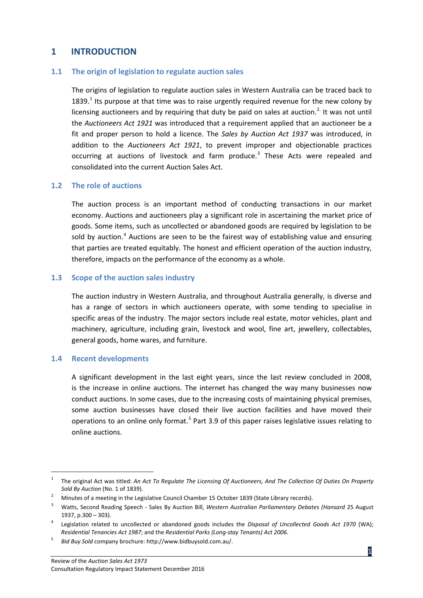## <span id="page-9-0"></span>**1 INTRODUCTION**

#### <span id="page-9-1"></span>**1.1 The origin of legislation to regulate auction sales**

The origins of legislation to regulate auction sales in Western Australia can be traced back to [1](#page-9-5)839.<sup>1</sup> Its purpose at that time was to raise urgently required revenue for the new colony by licensing auctioneers and by requiring that duty be paid on sales at auction.<sup>[2.](#page-9-6)</sup> It was not until the *Auctioneers Act 1921* was introduced that a requirement applied that an auctioneer be a fit and proper person to hold a licence. The *Sales by Auction Act 1937* was introduced, in addition to the *Auctioneers Act 1921*, to prevent improper and objectionable practices occurring at auctions of livestock and farm produce.<sup>[3](#page-9-7)</sup> These Acts were repealed and consolidated into the current Auction Sales Act.

#### <span id="page-9-2"></span>**1.2 The role of auctions**

The auction process is an important method of conducting transactions in our market economy. Auctions and auctioneers play a significant role in ascertaining the market price of goods. Some items, such as uncollected or abandoned goods are required by legislation to be sold by auction.<sup>[4](#page-9-8)</sup> Auctions are seen to be the fairest way of establishing value and ensuring that parties are treated equitably. The honest and efficient operation of the auction industry, therefore, impacts on the performance of the economy as a whole.

#### <span id="page-9-3"></span>**1.3 Scope of the auction sales industry**

The auction industry in Western Australia, and throughout Australia generally, is diverse and has a range of sectors in which auctioneers operate, with some tending to specialise in specific areas of the industry. The major sectors include real estate, motor vehicles, plant and machinery, agriculture, including grain, livestock and wool, fine art, jewellery, collectables, general goods, home wares, and furniture.

#### <span id="page-9-4"></span>**1.4 Recent developments**

A significant development in the last eight years, since the last review concluded in 2008, is the increase in online auctions. The internet has changed the way many businesses now conduct auctions. In some cases, due to the increasing costs of maintaining physical premises, some auction businesses have closed their live auction facilities and have moved their operations to an online only format.<sup>[5](#page-9-9)</sup> Part 3.9 of this paper raises legislative issues relating to online auctions.

<span id="page-9-5"></span> <sup>1</sup> The original Act was titled: *An Act To Regulate The Licensing Of Auctioneers, And The Collection Of Duties On Property Sold By Auction* (No. 1 of 1839).

<span id="page-9-6"></span><sup>&</sup>lt;sup>2</sup> Minutes of a meeting in the Legislative Council Chamber 15 October 1839 (State Library records).

<span id="page-9-7"></span><sup>3</sup> Watts, Second Reading Speech - Sales By Auction Bill, *Western Australian Parliamentary Debates (Hansard* 25 August 1937, p.300 – 303).

<span id="page-9-8"></span><sup>4</sup> Legislation related to uncollected or abandoned goods includes the *Disposal of Uncollected Goods Act 1970* (WA); *Residential Tenancies Act 1987*; and the *Residential Parks (Long-stay Tenants) Act 2006*. 5 *Bid Buy Sold* company brochure: http://www.bidbuysold.com.au/.

<span id="page-9-9"></span>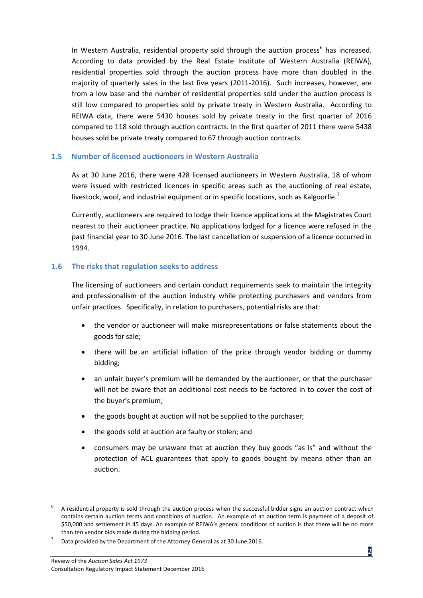In Western Australia, residential property sold through the auction process<sup>[6](#page-10-2)</sup> has increased. According to data provided by the Real Estate Institute of Western Australia (REIWA), residential properties sold through the auction process have more than doubled in the majority of quarterly sales in the last five years (2011-2016). Such increases, however, are from a low base and the number of residential properties sold under the auction process is still low compared to properties sold by private treaty in Western Australia. According to REIWA data, there were 5430 houses sold by private treaty in the first quarter of 2016 compared to 118 sold through auction contracts. In the first quarter of 2011 there were 5438 houses sold be private treaty compared to 67 through auction contracts.

#### <span id="page-10-0"></span>**1.5 Number of licensed auctioneers in Western Australia**

As at 30 June 2016, there were 428 licensed auctioneers in Western Australia, 18 of whom were issued with restricted licences in specific areas such as the auctioning of real estate, livestock, wool, and industrial equipment or in specific locations, such as Kalgoorlie.<sup>[7](#page-10-3)</sup>

Currently, auctioneers are required to lodge their licence applications at the Magistrates Court nearest to their auctioneer practice. No applications lodged for a licence were refused in the past financial year to 30 June 2016. The last cancellation or suspension of a licence occurred in 1994.

#### <span id="page-10-1"></span>**1.6 The risks that regulation seeks to address**

The licensing of auctioneers and certain conduct requirements seek to maintain the integrity and professionalism of the auction industry while protecting purchasers and vendors from unfair practices. Specifically, in relation to purchasers, potential risks are that:

- the vendor or auctioneer will make misrepresentations or false statements about the goods for sale;
- there will be an artificial inflation of the price through vendor bidding or dummy bidding;
- an unfair buyer's premium will be demanded by the auctioneer, or that the purchaser will not be aware that an additional cost needs to be factored in to cover the cost of the buyer's premium;
- the goods bought at auction will not be supplied to the purchaser;
- the goods sold at auction are faulty or stolen; and
- consumers may be unaware that at auction they buy goods "as is" and without the protection of ACL guarantees that apply to goods bought by means other than an auction.

<span id="page-10-2"></span> <sup>6</sup> A residential property is sold through the auction process when the successful bidder signs an auction contract which contains certain auction terms and conditions of auction. An example of an auction term is payment of a deposit of \$50,000 and settlement in 45 days. An example of REIWA's general conditions of auction is that there will be no more than ten vendor bids made during the bidding period.

<span id="page-10-3"></span>Data provided by the Department of the Attorney General as at 30 June 2016.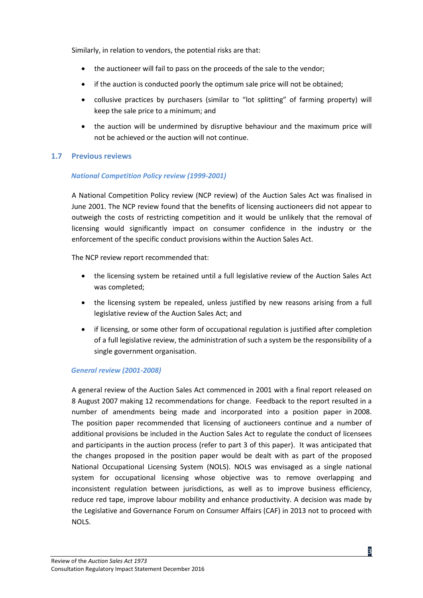Similarly, in relation to vendors, the potential risks are that:

- the auctioneer will fail to pass on the proceeds of the sale to the vendor;
- if the auction is conducted poorly the optimum sale price will not be obtained;
- collusive practices by purchasers (similar to "lot splitting" of farming property) will keep the sale price to a minimum; and
- the auction will be undermined by disruptive behaviour and the maximum price will not be achieved or the auction will not continue.

#### <span id="page-11-0"></span>**1.7 Previous reviews**

#### *National Competition Policy review (1999-2001)*

A National Competition Policy review (NCP review) of the Auction Sales Act was finalised in June 2001. The NCP review found that the benefits of licensing auctioneers did not appear to outweigh the costs of restricting competition and it would be unlikely that the removal of licensing would significantly impact on consumer confidence in the industry or the enforcement of the specific conduct provisions within the Auction Sales Act.

The NCP review report recommended that:

- the licensing system be retained until a full legislative review of the Auction Sales Act was completed;
- the licensing system be repealed, unless justified by new reasons arising from a full legislative review of the Auction Sales Act; and
- if licensing, or some other form of occupational regulation is justified after completion of a full legislative review, the administration of such a system be the responsibility of a single government organisation.

#### *General review (2001-2008)*

A general review of the Auction Sales Act commenced in 2001 with a final report released on 8 August 2007 making 12 recommendations for change. Feedback to the report resulted in a number of amendments being made and incorporated into a position paper in 2008. The position paper recommended that licensing of auctioneers continue and a number of additional provisions be included in the Auction Sales Act to regulate the conduct of licensees and participants in the auction process (refer to part 3 of this paper). It was anticipated that the changes proposed in the position paper would be dealt with as part of the proposed National Occupational Licensing System (NOLS). NOLS was envisaged as a single national system for occupational licensing whose objective was to remove overlapping and inconsistent regulation between jurisdictions, as well as to improve business efficiency, reduce red tape, improve labour mobility and enhance productivity. A decision was made by the Legislative and Governance Forum on Consumer Affairs (CAF) in 2013 not to proceed with NOLS.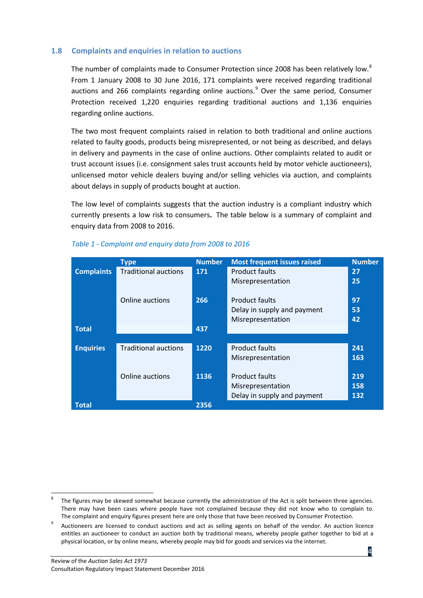#### <span id="page-12-0"></span>**1.8 Complaints and enquiries in relation to auctions**

The number of complaints made to Consumer Protection since 200[8](#page-12-1) has been relatively low.<sup>8</sup> From 1 January 2008 to 30 June 2016, 171 complaints were received regarding traditional auctions and 266 complaints regarding online auctions. $9$  Over the same period, Consumer Protection received 1,220 enquiries regarding traditional auctions and 1,136 enquiries regarding online auctions.

The two most frequent complaints raised in relation to both traditional and online auctions related to faulty goods, products being misrepresented, or not being as described, and delays in delivery and payments in the case of online auctions. Other complaints related to audit or trust account issues (i.e. consignment sales trust accounts held by motor vehicle auctioneers), unlicensed motor vehicle dealers buying and/or selling vehicles via auction, and complaints about delays in supply of products bought at auction.

The low level of complaints suggests that the auction industry is a compliant industry which currently presents a low risk to consumers**.** The table below is a summary of complaint and enquiry data from 2008 to 2016.

|                   | <b>Type</b>                 | <b>Number</b> | <b>Most frequent issues raised</b> | <b>Number</b> |
|-------------------|-----------------------------|---------------|------------------------------------|---------------|
| <b>Complaints</b> | <b>Traditional auctions</b> | 171           | Product faults                     | 27            |
|                   |                             |               | Misrepresentation                  | 25            |
|                   | Online auctions             | 266           | <b>Product faults</b>              | 97            |
|                   |                             |               | Delay in supply and payment        | 53            |
|                   |                             |               | Misrepresentation                  | 42            |
| <b>Total</b>      |                             | 437           |                                    |               |
|                   |                             |               |                                    |               |
| <b>Enquiries</b>  | <b>Traditional auctions</b> | 1220          | <b>Product faults</b>              | 241           |
|                   |                             |               | Misrepresentation                  | 163           |
|                   |                             |               |                                    |               |
|                   | Online auctions             | 1136          | <b>Product faults</b>              | 219           |
|                   |                             |               | Misrepresentation                  | 158           |
|                   |                             |               | Delay in supply and payment        | 132           |
| <b>Total</b>      |                             | 2356          |                                    |               |

#### *Table 1 - Complaint and enquiry data from 2008 to 2016*

<span id="page-12-1"></span>The figures may be skewed somewhat because currently the administration of the Act is split between three agencies. There may have been cases where people have not complained because they did not know who to complain to. The complaint and enquiry figures present here are only those that have been received by Consumer Protection.

<span id="page-12-2"></span><sup>9</sup> Auctioneers are licensed to conduct auctions and act as selling agents on behalf of the vendor. An auction licence entitles an auctioneer to conduct an auction both by traditional means, whereby people gather together to bid at a physical location, or by online means, whereby people may bid for goods and services via the internet.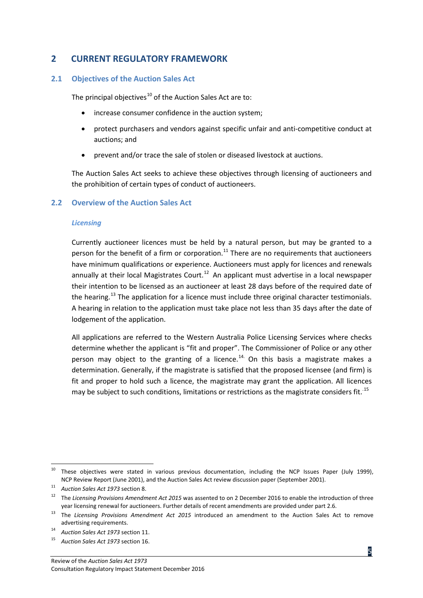## <span id="page-13-0"></span>**2 CURRENT REGULATORY FRAMEWORK**

#### <span id="page-13-1"></span>**2.1 Objectives of the Auction Sales Act**

The principal objectives<sup>[10](#page-13-3)</sup> of the Auction Sales Act are to:

- increase consumer confidence in the auction system;
- protect purchasers and vendors against specific unfair and anti-competitive conduct at auctions; and
- prevent and/or trace the sale of stolen or diseased livestock at auctions.

The Auction Sales Act seeks to achieve these objectives through licensing of auctioneers and the prohibition of certain types of conduct of auctioneers.

#### <span id="page-13-2"></span>**2.2 Overview of the Auction Sales Act**

#### *Licensing*

Currently auctioneer licences must be held by a natural person, but may be granted to a person for the benefit of a firm or corporation.<sup>[11](#page-13-4)</sup> There are no requirements that auctioneers have minimum qualifications or experience. Auctioneers must apply for licences and renewals annually at their local Magistrates Court.<sup>[12](#page-13-5)</sup> An applicant must advertise in a local newspaper their intention to be licensed as an auctioneer at least 28 days before of the required date of the hearing.<sup>[13](#page-13-6)</sup> The application for a licence must include three original character testimonials. A hearing in relation to the application must take place not less than 35 days after the date of lodgement of the application.

All applications are referred to the Western Australia Police Licensing Services where checks determine whether the applicant is "fit and proper". The Commissioner of Police or any other person may object to the granting of a licence.<sup>[14.](#page-13-7)</sup> On this basis a magistrate makes a determination. Generally, if the magistrate is satisfied that the proposed licensee (and firm) is fit and proper to hold such a licence, the magistrate may grant the application. All licences may be subject to such conditions, limitations or restrictions as the magistrate considers fit.<sup>[15](#page-13-8)</sup>

<span id="page-13-3"></span><sup>&</sup>lt;sup>10</sup> These objectives were stated in various previous documentation, including the NCP Issues Paper (July 1999), NCP Review Report (June 2001), and the Auction Sales Act review discussion paper (September 2001).

<span id="page-13-4"></span><sup>11</sup> *Auction Sales Act 1973* section 8.

<span id="page-13-5"></span><sup>12</sup> The *Licensing Provisions Amendment Act 2015* was assented to on 2 December 2016 to enable the introduction of three year licensing renewal for auctioneers. Further details of recent amendments are provided under part 2.6.

<span id="page-13-6"></span><sup>13</sup> The *Licensing Provisions Amendment Act 2015* introduced an amendment to the Auction Sales Act to remove

advertising requirements. 14 *Auction Sales Act 1973* section 11.

<span id="page-13-8"></span><span id="page-13-7"></span><sup>15</sup> *Auction Sales Act 1973* section 16.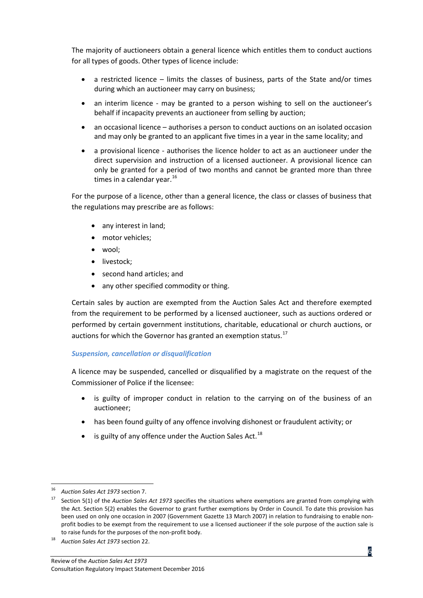The majority of auctioneers obtain a general licence which entitles them to conduct auctions for all types of goods. Other types of licence include:

- a restricted licence limits the classes of business, parts of the State and/or times during which an auctioneer may carry on business;
- an interim licence may be granted to a person wishing to sell on the auctioneer's behalf if incapacity prevents an auctioneer from selling by auction;
- an occasional licence authorises a person to conduct auctions on an isolated occasion and may only be granted to an applicant five times in a year in the same locality; and
- a provisional licence authorises the licence holder to act as an auctioneer under the direct supervision and instruction of a licensed auctioneer. A provisional licence can only be granted for a period of two months and cannot be granted more than three times in a calendar year.<sup>[16](#page-14-0)</sup>

For the purpose of a licence, other than a general licence, the class or classes of business that the regulations may prescribe are as follows:

- any interest in land;
- motor vehicles;
- wool;
- livestock:
- second hand articles; and
- any other specified commodity or thing.

Certain sales by auction are exempted from the Auction Sales Act and therefore exempted from the requirement to be performed by a licensed auctioneer, such as auctions ordered or performed by certain government institutions, charitable, educational or church auctions, or auctions for which the Governor has granted an exemption status.<sup>[17](#page-14-1)</sup>

#### *Suspension, cancellation or disqualification*

A licence may be suspended, cancelled or disqualified by a magistrate on the request of the Commissioner of Police if the licensee:

- is guilty of improper conduct in relation to the carrying on of the business of an auctioneer;
- has been found guilty of any offence involving dishonest or fraudulent activity; or
- $\bullet$  is guilty of any offence under the Auction Sales Act.<sup>[18](#page-14-2)</sup>

<span id="page-14-0"></span> <sup>16</sup> *Auction Sales Act 1973* section 7.

<span id="page-14-1"></span><sup>17</sup> Section 5(1) of the *Auction Sales Act 1973* specifies the situations where exemptions are granted from complying with the Act. Section 5(2) enables the Governor to grant further exemptions by Order in Council. To date this provision has been used on only one occasion in 2007 (Government Gazette 13 March 2007) in relation to fundraising to enable nonprofit bodies to be exempt from the requirement to use a licensed auctioneer if the sole purpose of the auction sale is to raise funds for the purposes of the non-profit body.

<span id="page-14-2"></span><sup>18</sup> *Auction Sales Act 1973* section 22.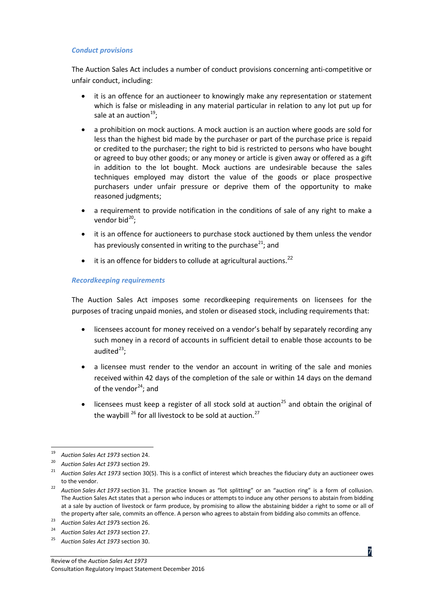#### *Conduct provisions*

The Auction Sales Act includes a number of conduct provisions concerning anti-competitive or unfair conduct, including:

- it is an offence for an auctioneer to knowingly make any representation or statement which is false or misleading in any material particular in relation to any lot put up for sale at an auction<sup>[19](#page-15-0)</sup>;
- a prohibition on mock auctions. A mock auction is an auction where goods are sold for less than the highest bid made by the purchaser or part of the purchase price is repaid or credited to the purchaser; the right to bid is restricted to persons who have bought or agreed to buy other goods; or any money or article is given away or offered as a gift in addition to the lot bought. Mock auctions are undesirable because the sales techniques employed may distort the value of the goods or place prospective purchasers under unfair pressure or deprive them of the opportunity to make reasoned judgments;
- a requirement to provide notification in the conditions of sale of any right to make a vendor bid<sup>[20](#page-15-1)</sup>;
- it is an offence for auctioneers to purchase stock auctioned by them unless the vendor has previously consented in writing to the purchase<sup>21</sup>; and
- $\bullet$  it is an offence for bidders to collude at agricultural auctions.<sup>[22](#page-15-3)</sup>

#### *Recordkeeping requirements*

The Auction Sales Act imposes some recordkeeping requirements on licensees for the purposes of tracing unpaid monies, and stolen or diseased stock, including requirements that:

- licensees account for money received on a vendor's behalf by separately recording any such money in a record of accounts in sufficient detail to enable those accounts to be audited<sup>[23](#page-15-4)</sup>;
- a licensee must render to the vendor an account in writing of the sale and monies received within 42 days of the completion of the sale or within 14 days on the demand of the vendor $24$ ; and
- licensees must keep a register of all stock sold at auction<sup>[25](#page-15-6)</sup> and obtain the original of the waybill  $^{26}$  $^{26}$  $^{26}$  for all livestock to be sold at auction.<sup>[27](#page-15-4)</sup>

<span id="page-15-0"></span><sup>19</sup> *Auction Sales Act 1973* section 24. 20 *Auction Sales Act 1973* section 29.

<span id="page-15-2"></span><span id="page-15-1"></span><sup>&</sup>lt;sup>21</sup> Auction Sales Act 1973 section 30(5). This is a conflict of interest which breaches the fiduciary duty an auctioneer owes to the vendor.

<span id="page-15-7"></span><span id="page-15-3"></span><sup>&</sup>lt;sup>22</sup> Auction Sales Act 1973 section 31. The practice known as "lot splitting" or an "auction ring" is a form of collusion. The Auction Sales Act states that a person who induces or attempts to induce any other persons to abstain from bidding at a sale by auction of livestock or farm produce, by promising to allow the abstaining bidder a right to some or all of the property after sale, commits an offence. A person who agrees to abstain from bidding also commits an offence. 23 *Auction Sales Act 197*3 section 26.

<span id="page-15-4"></span>

<span id="page-15-5"></span><sup>24</sup> *Auction Sales Act 1973* section 27.

<span id="page-15-6"></span><sup>25</sup> *Auction Sales Act 1973* section 30.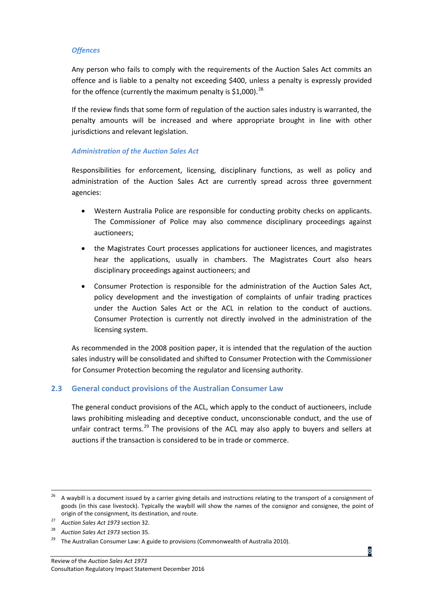#### *Offences*

Any person who fails to comply with the requirements of the Auction Sales Act commits an offence and is liable to a penalty not exceeding \$400, unless a penalty is expressly provided for the offence (currently the maximum penalty is \$1,000).<sup>[28.](#page-16-1)</sup>

If the review finds that some form of regulation of the auction sales industry is warranted, the penalty amounts will be increased and where appropriate brought in line with other jurisdictions and relevant legislation.

#### *Administration of the Auction Sales Act*

Responsibilities for enforcement, licensing, disciplinary functions, as well as policy and administration of the Auction Sales Act are currently spread across three government agencies:

- Western Australia Police are responsible for conducting probity checks on applicants. The Commissioner of Police may also commence disciplinary proceedings against auctioneers;
- the Magistrates Court processes applications for auctioneer licences, and magistrates hear the applications, usually in chambers. The Magistrates Court also hears disciplinary proceedings against auctioneers; and
- Consumer Protection is responsible for the administration of the Auction Sales Act, policy development and the investigation of complaints of unfair trading practices under the Auction Sales Act or the ACL in relation to the conduct of auctions. Consumer Protection is currently not directly involved in the administration of the licensing system.

As recommended in the 2008 position paper, it is intended that the regulation of the auction sales industry will be consolidated and shifted to Consumer Protection with the Commissioner for Consumer Protection becoming the regulator and licensing authority.

#### <span id="page-16-0"></span>**2.3 General conduct provisions of the Australian Consumer Law**

The general conduct provisions of the ACL, which apply to the conduct of auctioneers, include laws prohibiting misleading and deceptive conduct, unconscionable conduct, and the use of unfair contract terms.<sup>[29](#page-16-2)</sup> The provisions of the ACL may also apply to buyers and sellers at auctions if the transaction is considered to be in trade or commerce.

<sup>&</sup>lt;sup>26</sup> A waybill is a document issued by a carrier giving details and instructions relating to the transport of a consignment of goods (in this case livestock). Typically the waybill will show the names of the consignor and consignee, the point of origin of the consignment, its destination, and route.

<sup>27</sup> *Auction Sales Act 1973* section 32.

<span id="page-16-1"></span><sup>28</sup> *Auction Sales Act 1973* section 35.

<span id="page-16-2"></span> $29$  The Australian Consumer Law: A guide to provisions (Commonwealth of Australia 2010).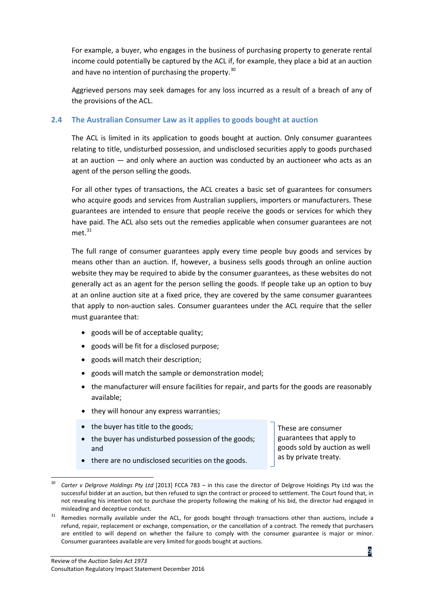For example, a buyer, who engages in the business of purchasing property to generate rental income could potentially be captured by the ACL if, for example, they place a bid at an auction and have no intention of purchasing the property.<sup>[30](#page-17-1)</sup>

Aggrieved persons may seek damages for any loss incurred as a result of a breach of any of the provisions of the ACL.

#### <span id="page-17-0"></span>**2.4 The Australian Consumer Law as it applies to goods bought at auction**

The ACL is limited in its application to goods bought at auction. Only consumer guarantees relating to title, undisturbed possession, and undisclosed securities apply to goods purchased at an auction — and only where an auction was conducted by an auctioneer who acts as an agent of the person selling the goods.

For all other types of transactions, the ACL creates a basic set of guarantees for consumers who acquire goods and services from Australian suppliers, importers or manufacturers. These guarantees are intended to ensure that people receive the goods or services for which they have paid. The ACL also sets out the remedies applicable when consumer guarantees are not met. [31](#page-17-2)

The full range of consumer guarantees apply every time people buy goods and services by means other than an auction. If, however, a business sells goods through an online auction website they may be required to abide by the consumer guarantees, as these websites do not generally act as an agent for the person selling the goods. If people take up an option to buy at an online auction site at a fixed price, they are covered by the same consumer guarantees that apply to non-auction sales. Consumer guarantees under the ACL require that the seller must guarantee that:

- goods will be of acceptable quality:
- goods will be fit for a disclosed purpose;
- goods will match their description;
- goods will match the sample or demonstration model;
- the manufacturer will ensure facilities for repair, and parts for the goods are reasonably available;
- they will honour any express warranties;
- the buyer has title to the goods; These are consumer
- the buyer has undisturbed possession of the goods; and

guarantees that apply to goods sold by auction as well as by private treaty.

• there are no undisclosed securities on the goods.

<span id="page-17-1"></span> <sup>30</sup> *Carter v Delgrove Holdings Pty Ltd* [2013] FCCA 783 – in this case the director of Delgrove Holdings Pty Ltd was the successful bidder at an auction, but then refused to sign the contract or proceed to settlement. The Court found that, in not revealing his intention not to purchase the property following the making of his bid, the director had engaged in misleading and deceptive conduct.

<span id="page-17-2"></span> $31$  Remedies normally available under the ACL, for goods bought through transactions other than auctions, include a refund, repair, replacement or exchange, compensation, or the cancellation of a contract. The remedy that purchasers are entitled to will depend on whether the failure to comply with the consumer guarantee is major or minor. Consumer guarantees available are very limited for goods bought at auctions.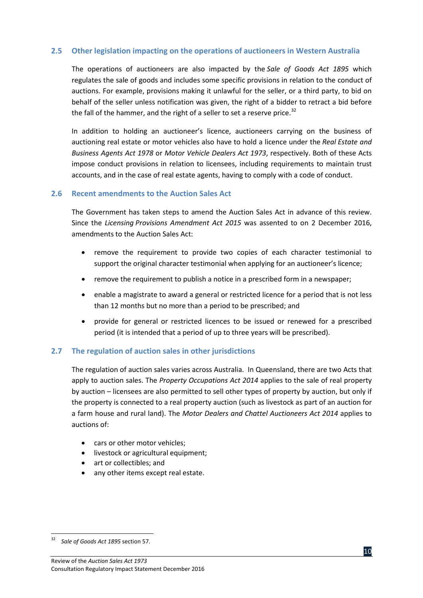#### <span id="page-18-0"></span>**2.5 Other legislation impacting on the operations of auctioneers in Western Australia**

The operations of auctioneers are also impacted by the *Sale of Goods Act 1895* which regulates the sale of goods and includes some specific provisions in relation to the conduct of auctions. For example, provisions making it unlawful for the seller, or a third party, to bid on behalf of the seller unless notification was given, the right of a bidder to retract a bid before the fall of the hammer, and the right of a seller to set a reserve price.<sup>[32](#page-18-3)</sup>

In addition to holding an auctioneer's licence, auctioneers carrying on the business of auctioning real estate or motor vehicles also have to hold a licence under the *Real Estate and Business Agents Act 1978* or *Motor Vehicle Dealers Act 1973*, respectively. Both of these Acts impose conduct provisions in relation to licensees, including requirements to maintain trust accounts, and in the case of real estate agents, having to comply with a code of conduct.

#### <span id="page-18-1"></span>**2.6 Recent amendments to the Auction Sales Act**

The Government has taken steps to amend the Auction Sales Act in advance of this review. Since the *Licensing Provisions Amendment Act 2015* was assented to on 2 December 2016, amendments to the Auction Sales Act:

- remove the requirement to provide two copies of each character testimonial to support the original character testimonial when applying for an auctioneer's licence;
- remove the requirement to publish a notice in a prescribed form in a newspaper;
- enable a magistrate to award a general or restricted licence for a period that is not less than 12 months but no more than a period to be prescribed; and
- provide for general or restricted licences to be issued or renewed for a prescribed period (it is intended that a period of up to three years will be prescribed).

#### <span id="page-18-2"></span>**2.7 The regulation of auction sales in other jurisdictions**

The regulation of auction sales varies across Australia. In Queensland, there are two Acts that apply to auction sales. The *Property Occupations Act 2014* applies to the sale of real property by auction – licensees are also permitted to sell other types of property by auction, but only if the property is connected to a real property auction (such as livestock as part of an auction for a farm house and rural land). The *Motor Dealers and Chattel Auctioneers Act 2014* applies to auctions of:

- cars or other motor vehicles:
- livestock or agricultural equipment;
- art or collectibles; and
- any other items except real estate.



<span id="page-18-3"></span> <sup>32</sup> *Sale of Goods Act 1895* section 57.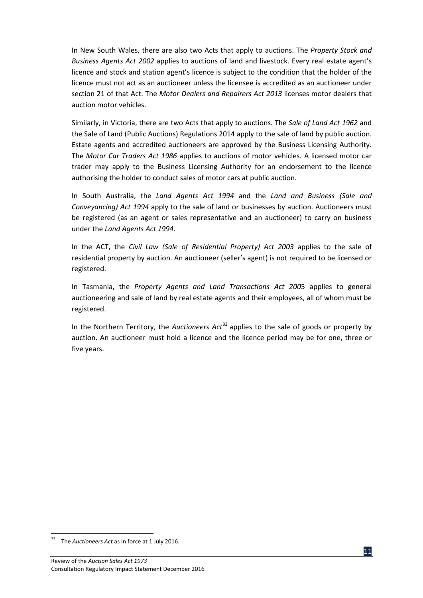In New South Wales, there are also two Acts that apply to auctions. The *Property Stock and Business Agents Act 2002* applies to auctions of land and livestock. Every real estate agent's licence and stock and station agent's licence is subject to the condition that the holder of the licence must not act as an auctioneer unless the licensee is accredited as an auctioneer under section 21 of that Act. The *Motor Dealers and Repairers Act 2013* licenses motor dealers that auction motor vehicles.

Similarly, in Victoria, there are two Acts that apply to auctions. The *Sale of Land Act 1962* and the Sale of Land (Public Auctions) Regulations 2014 apply to the sale of land by public auction. Estate agents and accredited auctioneers are approved by the Business Licensing Authority. The *Motor Car Traders Act 1986* applies to auctions of motor vehicles. A licensed motor car trader may apply to the Business Licensing Authority for an endorsement to the licence authorising the holder to conduct sales of motor cars at public auction.

In South Australia, the *Land Agents Act 1994* and the *Land and Business (Sale and Conveyancing) Act 1994* apply to the sale of land or businesses by auction. Auctioneers must be registered (as an agent or sales representative and an auctioneer) to carry on business under the *Land Agents Act 1994*.

In the ACT, the *Civil Law (Sale of Residential Property) Act 2003* applies to the sale of residential property by auction. An auctioneer (seller's agent) is not required to be licensed or registered.

In Tasmania, the *Property Agents and Land Transactions Act 200*5 applies to general auctioneering and sale of land by real estate agents and their employees, all of whom must be registered.

In the Northern Territory, the *Auctioneers Act*<sup>[33](#page-19-0)</sup> applies to the sale of goods or property by auction. An auctioneer must hold a licence and the licence period may be for one, three or five years.

<span id="page-19-0"></span> <sup>33</sup> The *Auctioneers Act* as in force at 1 July 2016.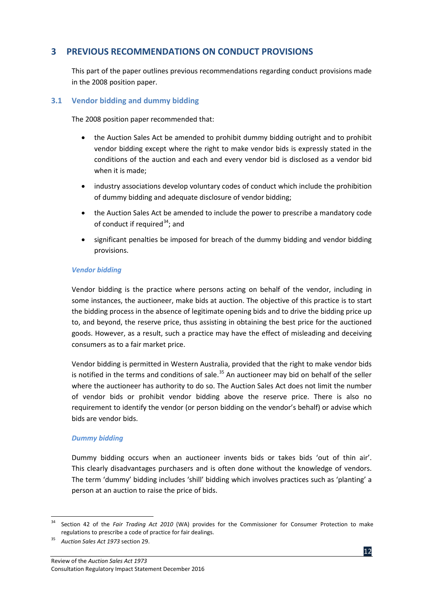## <span id="page-20-0"></span>**3 PREVIOUS RECOMMENDATIONS ON CONDUCT PROVISIONS**

This part of the paper outlines previous recommendations regarding conduct provisions made in the 2008 position paper.

#### <span id="page-20-1"></span>**3.1 Vendor bidding and dummy bidding**

The 2008 position paper recommended that:

- the Auction Sales Act be amended to prohibit dummy bidding outright and to prohibit vendor bidding except where the right to make vendor bids is expressly stated in the conditions of the auction and each and every vendor bid is disclosed as a vendor bid when it is made;
- industry associations develop voluntary codes of conduct which include the prohibition of dummy bidding and adequate disclosure of vendor bidding;
- the Auction Sales Act be amended to include the power to prescribe a mandatory code of conduct if required<sup>[34](#page-20-2)</sup>; and
- significant penalties be imposed for breach of the dummy bidding and vendor bidding provisions.

#### *Vendor bidding*

Vendor bidding is the practice where persons acting on behalf of the vendor, including in some instances, the auctioneer, make bids at auction. The objective of this practice is to start the bidding process in the absence of legitimate opening bids and to drive the bidding price up to, and beyond, the reserve price, thus assisting in obtaining the best price for the auctioned goods. However, as a result, such a practice may have the effect of misleading and deceiving consumers as to a fair market price.

Vendor bidding is permitted in Western Australia, provided that the right to make vendor bids is notified in the terms and conditions of sale.<sup>[35](#page-20-3)</sup> An auctioneer may bid on behalf of the seller where the auctioneer has authority to do so. The Auction Sales Act does not limit the number of vendor bids or prohibit vendor bidding above the reserve price. There is also no requirement to identify the vendor (or person bidding on the vendor's behalf) or advise which bids are vendor bids.

#### *Dummy bidding*

Dummy bidding occurs when an auctioneer invents bids or takes bids 'out of thin air'. This clearly disadvantages purchasers and is often done without the knowledge of vendors. The term 'dummy' bidding includes 'shill' bidding which involves practices such as 'planting' a person at an auction to raise the price of bids.

<span id="page-20-2"></span> <sup>34</sup> Section 42 of the *Fair Trading Act 2010* (WA) provides for the Commissioner for Consumer Protection to make regulations to prescribe a code of practice for fair dealings.

<span id="page-20-3"></span><sup>35</sup> *Auction Sales Act 1973* section 29.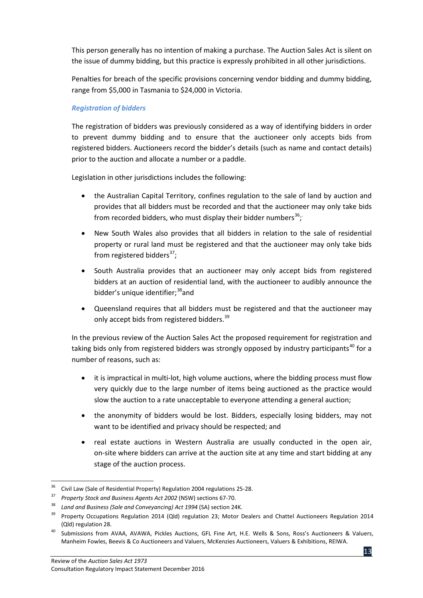This person generally has no intention of making a purchase. The Auction Sales Act is silent on the issue of dummy bidding, but this practice is expressly prohibited in all other jurisdictions.

Penalties for breach of the specific provisions concerning vendor bidding and dummy bidding, range from \$5,000 in Tasmania to \$24,000 in Victoria.

#### *Registration of bidders*

The registration of bidders was previously considered as a way of identifying bidders in order to prevent dummy bidding and to ensure that the auctioneer only accepts bids from registered bidders. Auctioneers record the bidder's details (such as name and contact details) prior to the auction and allocate a number or a paddle.

Legislation in other jurisdictions includes the following:

- the Australian Capital Territory, confines regulation to the sale of land by auction and provides that all bidders must be recorded and that the auctioneer may only take bids from recorded bidders, who must display their bidder numbers<sup>[36](#page-21-0)</sup>;
- New South Wales also provides that all bidders in relation to the sale of residential property or rural land must be registered and that the auctioneer may only take bids from registered bidders<sup>[37](#page-21-1)</sup>;
- South Australia provides that an auctioneer may only accept bids from registered bidders at an auction of residential land, with the auctioneer to audibly announce the bidder's unique identifier;<sup>[38](#page-21-2)</sup>and
- Queensland requires that all bidders must be registered and that the auctioneer may only accept bids from registered bidders.<sup>[39](#page-21-3)</sup>

In the previous review of the Auction Sales Act the proposed requirement for registration and taking bids only from registered bidders was strongly opposed by industry participants<sup>[40](#page-21-4)</sup> for a number of reasons, such as:

- it is impractical in multi-lot, high volume auctions, where the bidding process must flow very quickly due to the large number of items being auctioned as the practice would slow the auction to a rate unacceptable to everyone attending a general auction;
- the anonymity of bidders would be lost. Bidders, especially losing bidders, may not want to be identified and privacy should be respected; and
- real estate auctions in Western Australia are usually conducted in the open air, on-site where bidders can arrive at the auction site at any time and start bidding at any stage of the auction process.

<span id="page-21-1"></span><span id="page-21-0"></span><sup>36</sup> Civil Law (Sale of Residential Property) Regulation 2004 regulations 25-28. 37 *Property Stock and Business Agents Act 2002* (NSW) sections 67-70.

<sup>38</sup> *Land and Business (Sale and Conveyancing) Act 1994* (SA) section 24K.

<span id="page-21-3"></span><span id="page-21-2"></span><sup>&</sup>lt;sup>39</sup> Property Occupations Regulation 2014 (Qld) regulation 23; Motor Dealers and Chattel Auctioneers Regulation 2014 (Qld) regulation 28.

<span id="page-21-4"></span><sup>40</sup> Submissions from AVAA, AVAWA, Pickles Auctions, GFL Fine Art, H.E. Wells & Sons, Ross's Auctioneers & Valuers, Manheim Fowles, Beevis & Co Auctioneers and Valuers, McKenzies Auctioneers, Valuers & Exhibitions, REIWA.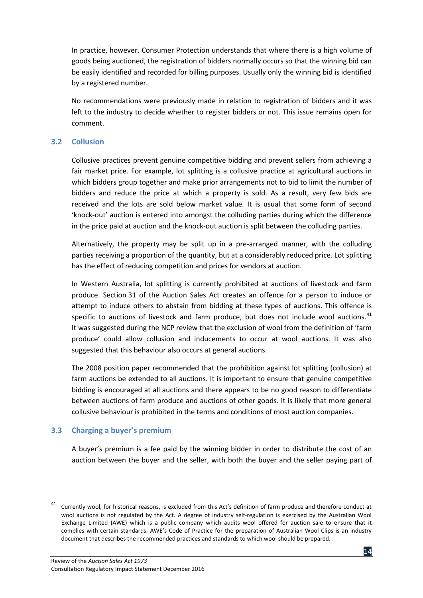In practice, however, Consumer Protection understands that where there is a high volume of goods being auctioned, the registration of bidders normally occurs so that the winning bid can be easily identified and recorded for billing purposes. Usually only the winning bid is identified by a registered number.

No recommendations were previously made in relation to registration of bidders and it was left to the industry to decide whether to register bidders or not. This issue remains open for comment.

#### <span id="page-22-0"></span>**3.2 Collusion**

Collusive practices prevent genuine competitive bidding and prevent sellers from achieving a fair market price. For example, lot splitting is a collusive practice at agricultural auctions in which bidders group together and make prior arrangements not to bid to limit the number of bidders and reduce the price at which a property is sold. As a result, very few bids are received and the lots are sold below market value. It is usual that some form of second 'knock-out' auction is entered into amongst the colluding parties during which the difference in the price paid at auction and the knock-out auction is split between the colluding parties.

Alternatively, the property may be split up in a pre-arranged manner, with the colluding parties receiving a proportion of the quantity, but at a considerably reduced price. Lot splitting has the effect of reducing competition and prices for vendors at auction.

In Western Australia, lot splitting is currently prohibited at auctions of livestock and farm produce. Section 31 of the Auction Sales Act creates an offence for a person to induce or attempt to induce others to abstain from bidding at these types of auctions. This offence is specific to auctions of livestock and farm produce, but does not include wool auctions. $41$ It was suggested during the NCP review that the exclusion of wool from the definition of 'farm produce' could allow collusion and inducements to occur at wool auctions. It was also suggested that this behaviour also occurs at general auctions.

The 2008 position paper recommended that the prohibition against lot splitting (collusion) at farm auctions be extended to all auctions. It is important to ensure that genuine competitive bidding is encouraged at all auctions and there appears to be no good reason to differentiate between auctions of farm produce and auctions of other goods. It is likely that more general collusive behaviour is prohibited in the terms and conditions of most auction companies.

#### <span id="page-22-1"></span>**3.3 Charging a buyer's premium**

 $\overline{\phantom{a}}$ 

A buyer's premium is a fee paid by the winning bidder in order to distribute the cost of an auction between the buyer and the seller, with both the buyer and the seller paying part of

<span id="page-22-2"></span><sup>&</sup>lt;sup>41</sup> Currently wool, for historical reasons, is excluded from this Act's definition of farm produce and therefore conduct at wool auctions is not regulated by the Act. A degree of industry self-regulation is exercised by the Australian Wool Exchange Limited (AWE) which is a public company which audits wool offered for auction sale to ensure that it complies with certain standards. AWE's Code of Practice for the preparation of Australian Wool Clips is an industry document that describes the recommended practices and standards to which wool should be prepared.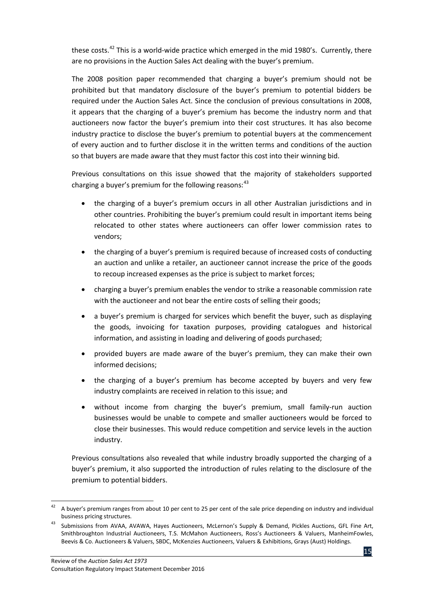these costs.<sup>[42](#page-23-0)</sup> This is a world-wide practice which emerged in the mid 1980's. Currently, there are no provisions in the Auction Sales Act dealing with the buyer's premium.

The 2008 position paper recommended that charging a buyer's premium should not be prohibited but that mandatory disclosure of the buyer's premium to potential bidders be required under the Auction Sales Act. Since the conclusion of previous consultations in 2008, it appears that the charging of a buyer's premium has become the industry norm and that auctioneers now factor the buyer's premium into their cost structures. It has also become industry practice to disclose the buyer's premium to potential buyers at the commencement of every auction and to further disclose it in the written terms and conditions of the auction so that buyers are made aware that they must factor this cost into their winning bid.

Previous consultations on this issue showed that the majority of stakeholders supported charging a buver's premium for the following reasons:  $43$ 

- the charging of a buyer's premium occurs in all other Australian jurisdictions and in other countries. Prohibiting the buyer's premium could result in important items being relocated to other states where auctioneers can offer lower commission rates to vendors;
- the charging of a buyer's premium is required because of increased costs of conducting an auction and unlike a retailer, an auctioneer cannot increase the price of the goods to recoup increased expenses as the price is subject to market forces;
- charging a buyer's premium enables the vendor to strike a reasonable commission rate with the auctioneer and not bear the entire costs of selling their goods;
- a buyer's premium is charged for services which benefit the buyer, such as displaying the goods, invoicing for taxation purposes, providing catalogues and historical information, and assisting in loading and delivering of goods purchased;
- provided buyers are made aware of the buyer's premium, they can make their own informed decisions;
- the charging of a buyer's premium has become accepted by buyers and very few industry complaints are received in relation to this issue; and
- without income from charging the buyer's premium, small family-run auction businesses would be unable to compete and smaller auctioneers would be forced to close their businesses. This would reduce competition and service levels in the auction industry.

Previous consultations also revealed that while industry broadly supported the charging of a buyer's premium, it also supported the introduction of rules relating to the disclosure of the premium to potential bidders.

<span id="page-23-0"></span> <sup>42</sup> A buyer's premium ranges from about 10 per cent to 25 per cent of the sale price depending on industry and individual business pricing structures.

<span id="page-23-1"></span><sup>43</sup> Submissions from AVAA, AVAWA, Hayes Auctioneers, McLernon's Supply & Demand, Pickles Auctions, GFL Fine Art, Smithbroughton Industrial Auctioneers, T.S. McMahon Auctioneers, Ross's Auctioneers & Valuers, ManheimFowles, Beevis & Co. Auctioneers & Valuers, SBDC, McKenzies Auctioneers, Valuers & Exhibitions, Grays (Aust) Holdings.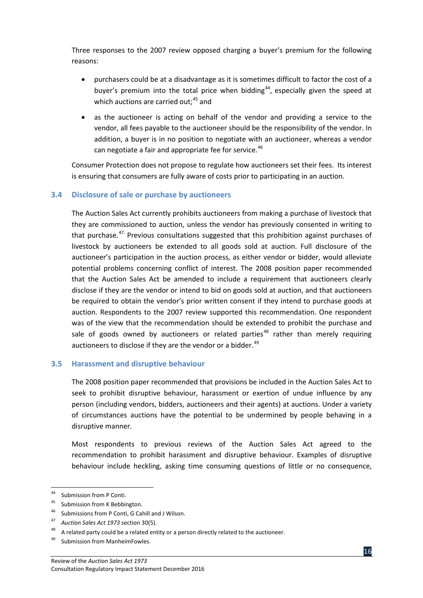Three responses to the 2007 review opposed charging a buyer's premium for the following reasons:

- purchasers could be at a disadvantage as it is sometimes difficult to factor the cost of a buyer's premium into the total price when bidding<sup>[44](#page-24-2)</sup>, especially given the speed at which auctions are carried out;<sup>[45](#page-24-3)</sup> and
- as the auctioneer is acting on behalf of the vendor and providing a service to the vendor, all fees payable to the auctioneer should be the responsibility of the vendor. In addition, a buyer is in no position to negotiate with an auctioneer, whereas a vendor can negotiate a fair and appropriate fee for service.<sup>[46](#page-24-4)</sup>

Consumer Protection does not propose to regulate how auctioneers set their fees. Its interest is ensuring that consumers are fully aware of costs prior to participating in an auction.

#### <span id="page-24-0"></span>**3.4 Disclosure of sale or purchase by auctioneers**

The Auction Sales Act currently prohibits auctioneers from making a purchase of livestock that they are commissioned to auction, unless the vendor has previously consented in writing to that purchase.<sup>[47](#page-24-5)</sup> Previous consultations suggested that this prohibition against purchases of livestock by auctioneers be extended to all goods sold at auction. Full disclosure of the auctioneer's participation in the auction process, as either vendor or bidder, would alleviate potential problems concerning conflict of interest. The 2008 position paper recommended that the Auction Sales Act be amended to include a requirement that auctioneers clearly disclose if they are the vendor or intend to bid on goods sold at auction, and that auctioneers be required to obtain the vendor's prior written consent if they intend to purchase goods at auction. Respondents to the 2007 review supported this recommendation. One respondent was of the view that the recommendation should be extended to prohibit the purchase and sale of goods owned by auctioneers or related parties<sup>[48](#page-24-6)</sup> rather than merely requiring auctioneers to disclose if they are the vendor or a bidder.  $49$ 

#### <span id="page-24-1"></span>**3.5 Harassment and disruptive behaviour**

The 2008 position paper recommended that provisions be included in the Auction Sales Act to seek to prohibit disruptive behaviour, harassment or exertion of undue influence by any person (including vendors, bidders, auctioneers and their agents) at auctions. Under a variety of circumstances auctions have the potential to be undermined by people behaving in a disruptive manner.

Most respondents to previous reviews of the Auction Sales Act agreed to the recommendation to prohibit harassment and disruptive behaviour. Examples of disruptive behaviour include heckling, asking time consuming questions of little or no consequence,

<span id="page-24-2"></span> <sup>44</sup> Submission from P Conti.

<span id="page-24-3"></span><sup>&</sup>lt;sup>45</sup> Submission from K Bebbington.

Submissions from P Conti, G Cahill and J Wilson.

<span id="page-24-5"></span><span id="page-24-4"></span><sup>47</sup> *Auction Sales Act 1973* section 30(5).

A related party could be a related entity or a person directly related to the auctioneer.

<span id="page-24-7"></span><span id="page-24-6"></span><sup>49</sup> Submission from ManheimFowles.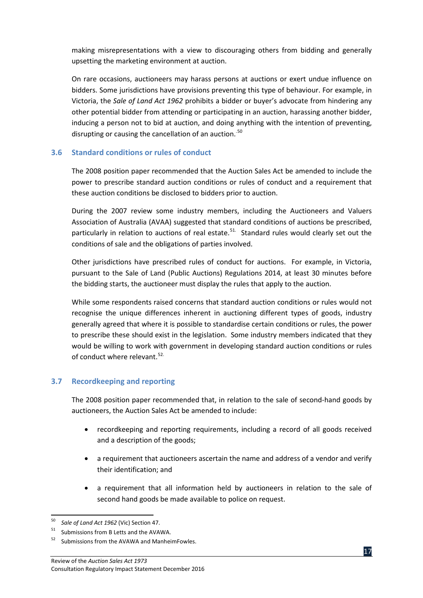making misrepresentations with a view to discouraging others from bidding and generally upsetting the marketing environment at auction.

On rare occasions, auctioneers may harass persons at auctions or exert undue influence on bidders. Some jurisdictions have provisions preventing this type of behaviour. For example, in Victoria, the *Sale of Land Act 1962* prohibits a bidder or buyer's advocate from hindering any other potential bidder from attending or participating in an auction, harassing another bidder, inducing a person not to bid at auction, and doing anything with the intention of preventing, disrupting or causing the cancellation of an auction.<sup>[50](#page-25-2)</sup>

#### <span id="page-25-0"></span>**3.6 Standard conditions or rules of conduct**

The 2008 position paper recommended that the Auction Sales Act be amended to include the power to prescribe standard auction conditions or rules of conduct and a requirement that these auction conditions be disclosed to bidders prior to auction.

During the 2007 review some industry members, including the Auctioneers and Valuers Association of Australia (AVAA) suggested that standard conditions of auctions be prescribed, particularly in relation to auctions of real estate.<sup>[51.](#page-25-3)</sup> Standard rules would clearly set out the conditions of sale and the obligations of parties involved.

Other jurisdictions have prescribed rules of conduct for auctions. For example, in Victoria, pursuant to the Sale of Land (Public Auctions) Regulations 2014, at least 30 minutes before the bidding starts, the auctioneer must display the rules that apply to the auction.

While some respondents raised concerns that standard auction conditions or rules would not recognise the unique differences inherent in auctioning different types of goods, industry generally agreed that where it is possible to standardise certain conditions or rules, the power to prescribe these should exist in the legislation. Some industry members indicated that they would be willing to work with government in developing standard auction conditions or rules of conduct where relevant.<sup>[52](#page-25-4).</sup>

#### <span id="page-25-1"></span>**3.7 Recordkeeping and reporting**

The 2008 position paper recommended that, in relation to the sale of second-hand goods by auctioneers, the Auction Sales Act be amended to include:

- recordkeeping and reporting requirements, including a record of all goods received and a description of the goods;
- a requirement that auctioneers ascertain the name and address of a vendor and verify their identification; and
- a requirement that all information held by auctioneers in relation to the sale of second hand goods be made available to police on request.

<span id="page-25-2"></span> <sup>50</sup> *Sale of Land Act 1962* (Vic) Section 47.

Submissions from B Letts and the AVAWA.

<span id="page-25-4"></span><span id="page-25-3"></span><sup>52</sup> Submissions from the AVAWA and ManheimFowles.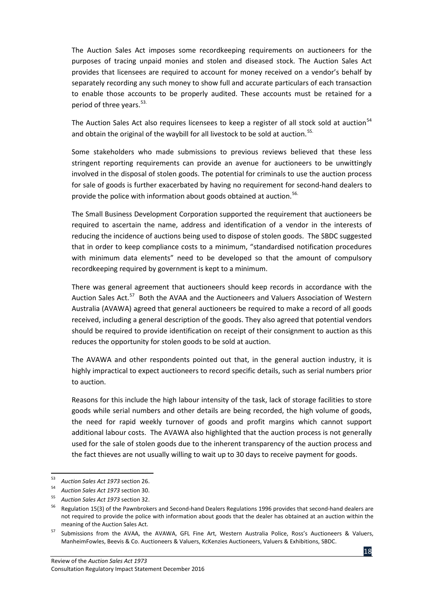The Auction Sales Act imposes some recordkeeping requirements on auctioneers for the purposes of tracing unpaid monies and stolen and diseased stock. The Auction Sales Act provides that licensees are required to account for money received on a vendor's behalf by separately recording any such money to show full and accurate particulars of each transaction to enable those accounts to be properly audited. These accounts must be retained for a period of three years. [53](#page-26-0).

The Auction Sales Act also requires licensees to keep a register of all stock sold at auction<sup>[54](#page-26-1)</sup> and obtain the original of the waybill for all livestock to be sold at auction.<sup>[55](#page-26-2).</sup>

Some stakeholders who made submissions to previous reviews believed that these less stringent reporting requirements can provide an avenue for auctioneers to be unwittingly involved in the disposal of stolen goods. The potential for criminals to use the auction process for sale of goods is further exacerbated by having no requirement for second-hand dealers to provide the police with information about goods obtained at auction.<sup>[56](#page-26-3).</sup>

The Small Business Development Corporation supported the requirement that auctioneers be required to ascertain the name, address and identification of a vendor in the interests of reducing the incidence of auctions being used to dispose of stolen goods. The SBDC suggested that in order to keep compliance costs to a minimum, "standardised notification procedures with minimum data elements" need to be developed so that the amount of compulsory recordkeeping required by government is kept to a minimum.

There was general agreement that auctioneers should keep records in accordance with the Auction Sales Act.<sup>[57](#page-26-4)</sup> Both the AVAA and the Auctioneers and Valuers Association of Western Australia (AVAWA) agreed that general auctioneers be required to make a record of all goods received, including a general description of the goods. They also agreed that potential vendors should be required to provide identification on receipt of their consignment to auction as this reduces the opportunity for stolen goods to be sold at auction.

The AVAWA and other respondents pointed out that, in the general auction industry, it is highly impractical to expect auctioneers to record specific details, such as serial numbers prior to auction.

Reasons for this include the high labour intensity of the task, lack of storage facilities to store goods while serial numbers and other details are being recorded, the high volume of goods, the need for rapid weekly turnover of goods and profit margins which cannot support additional labour costs. The AVAWA also highlighted that the auction process is not generally used for the sale of stolen goods due to the inherent transparency of the auction process and the fact thieves are not usually willing to wait up to 30 days to receive payment for goods.

<span id="page-26-0"></span> <sup>53</sup> *Auction Sales Act 1973* section 26.

<sup>54</sup> *Auction Sales Act 1973* section 30.

<span id="page-26-2"></span><span id="page-26-1"></span><sup>55</sup> *Auction Sales Act 1973* section 32.

<span id="page-26-3"></span><sup>&</sup>lt;sup>56</sup> Regulation 15(3) of the Pawnbrokers and Second-hand Dealers Regulations 1996 provides that second-hand dealers are not required to provide the police with information about goods that the dealer has obtained at an auction within the meaning of the Auction Sales Act.

<span id="page-26-4"></span><sup>&</sup>lt;sup>57</sup> Submissions from the AVAA, the AVAWA, GFL Fine Art, Western Australia Police, Ross's Auctioneers & Valuers, ManheimFowles, Beevis & Co. Auctioneers & Valuers, KcKenzies Auctioneers, Valuers & Exhibitions, SBDC.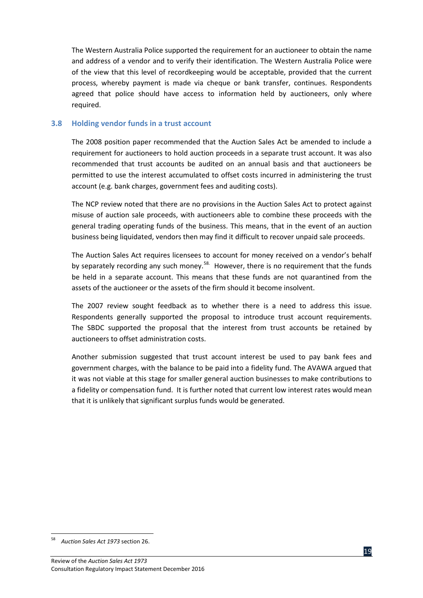The Western Australia Police supported the requirement for an auctioneer to obtain the name and address of a vendor and to verify their identification. The Western Australia Police were of the view that this level of recordkeeping would be acceptable, provided that the current process, whereby payment is made via cheque or bank transfer, continues. Respondents agreed that police should have access to information held by auctioneers, only where required.

#### <span id="page-27-0"></span>**3.8 Holding vendor funds in a trust account**

The 2008 position paper recommended that the Auction Sales Act be amended to include a requirement for auctioneers to hold auction proceeds in a separate trust account. It was also recommended that trust accounts be audited on an annual basis and that auctioneers be permitted to use the interest accumulated to offset costs incurred in administering the trust account (e.g. bank charges, government fees and auditing costs).

The NCP review noted that there are no provisions in the Auction Sales Act to protect against misuse of auction sale proceeds, with auctioneers able to combine these proceeds with the general trading operating funds of the business. This means, that in the event of an auction business being liquidated, vendors then may find it difficult to recover unpaid sale proceeds.

The Auction Sales Act requires licensees to account for money received on a vendor's behalf by separately recording any such money.<sup>[58.](#page-27-1)</sup> However, there is no requirement that the funds be held in a separate account. This means that these funds are not quarantined from the assets of the auctioneer or the assets of the firm should it become insolvent.

The 2007 review sought feedback as to whether there is a need to address this issue. Respondents generally supported the proposal to introduce trust account requirements. The SBDC supported the proposal that the interest from trust accounts be retained by auctioneers to offset administration costs.

Another submission suggested that trust account interest be used to pay bank fees and government charges, with the balance to be paid into a fidelity fund. The AVAWA argued that it was not viable at this stage for smaller general auction businesses to make contributions to a fidelity or compensation fund. It is further noted that current low interest rates would mean that it is unlikely that significant surplus funds would be generated.



<span id="page-27-1"></span> <sup>58</sup> *Auction Sales Act 1973* section 26.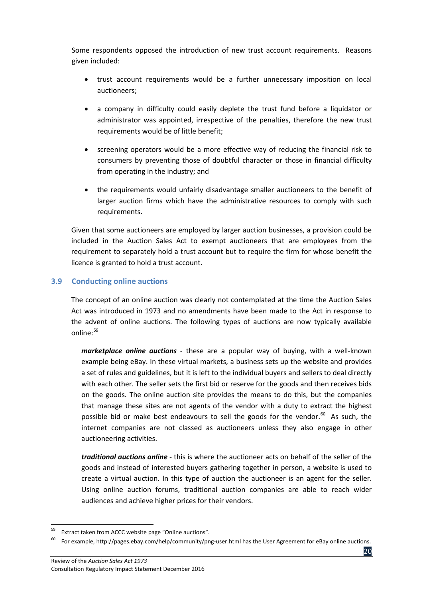Some respondents opposed the introduction of new trust account requirements. Reasons given included:

- trust account requirements would be a further unnecessary imposition on local auctioneers;
- a company in difficulty could easily deplete the trust fund before a liquidator or administrator was appointed, irrespective of the penalties, therefore the new trust requirements would be of little benefit;
- screening operators would be a more effective way of reducing the financial risk to consumers by preventing those of doubtful character or those in financial difficulty from operating in the industry; and
- the requirements would unfairly disadvantage smaller auctioneers to the benefit of larger auction firms which have the administrative resources to comply with such requirements.**.....**

Given that some auctioneers are employed by larger auction businesses, a provision could be included in the Auction Sales Act to exempt auctioneers that are employees from the requirement to separately hold a trust account but to require the firm for whose benefit the licence is granted to hold a trust account.

#### <span id="page-28-0"></span>**3.9 Conducting online auctions**

The concept of an online auction was clearly not contemplated at the time the Auction Sales Act was introduced in 1973 and no amendments have been made to the Act in response to the advent of online auctions. The following types of auctions are now typically available online:[59](#page-28-1)

*marketplace online auctions* - these are a popular way of buying, with a well-known example being eBay. In these virtual markets, a business sets up the website and provides a set of rules and guidelines, but it is left to the individual buyers and sellers to deal directly with each other. The seller sets the first bid or reserve for the goods and then receives bids on the goods. The online auction site provides the means to do this, but the companies that manage these sites are not agents of the vendor with a duty to extract the highest possible bid or make best endeavours to sell the goods for the vendor.<sup>[60](#page-28-2)</sup> As such, the internet companies are not classed as auctioneers unless they also engage in other auctioneering activities.

*traditional auctions online* - this is where the auctioneer acts on behalf of the seller of the goods and instead of interested buyers gathering together in person, a website is used to create a virtual auction. In this type of auction the auctioneer is an agent for the seller. Using online auction forums, traditional auction companies are able to reach wider audiences and achieve higher prices for their vendors.

<span id="page-28-1"></span>Extract taken from ACCC website page "Online auctions".

<span id="page-28-2"></span>For example, http://pages.ebay.com/help/community/png-user.html has the User Agreement for eBay online auctions.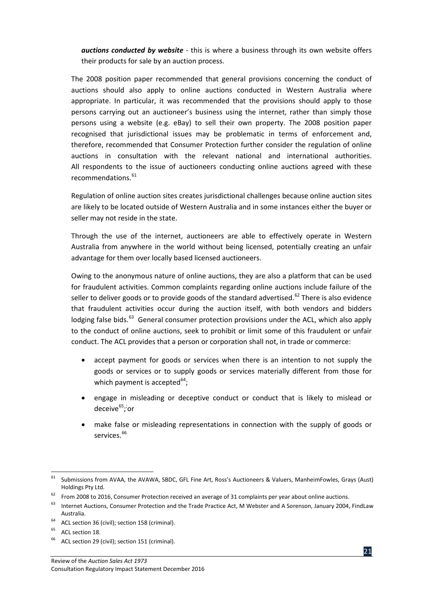*auctions conducted by website* - this is where a business through its own website offers their products for sale by an auction process.

The 2008 position paper recommended that general provisions concerning the conduct of auctions should also apply to online auctions conducted in Western Australia where appropriate. In particular, it was recommended that the provisions should apply to those persons carrying out an auctioneer's business using the internet, rather than simply those persons using a website (e.g. eBay) to sell their own property. The 2008 position paper recognised that jurisdictional issues may be problematic in terms of enforcement and, therefore, recommended that Consumer Protection further consider the regulation of online auctions in consultation with the relevant national and international authorities. All respondents to the issue of auctioneers conducting online auctions agreed with these recommendations. [61](#page-29-0)

Regulation of online auction sites creates jurisdictional challenges because online auction sites are likely to be located outside of Western Australia and in some instances either the buyer or seller may not reside in the state.

Through the use of the internet, auctioneers are able to effectively operate in Western Australia from anywhere in the world without being licensed, potentially creating an unfair advantage for them over locally based licensed auctioneers.

Owing to the anonymous nature of online auctions, they are also a platform that can be used for fraudulent activities. Common complaints regarding online auctions include failure of the seller to deliver goods or to provide goods of the standard advertised.<sup>[62](#page-29-1)</sup> There is also evidence that fraudulent activities occur during the auction itself, with both vendors and bidders lodging false bids.<sup>63</sup> General consumer protection provisions under the ACL, which also apply to the conduct of online auctions, seek to prohibit or limit some of this fraudulent or unfair conduct. The ACL provides that a person or corporation shall not, in trade or commerce:

- accept payment for goods or services when there is an intention to not supply the goods or services or to supply goods or services materially different from those for which payment is accepted $^{64}$  $^{64}$  $^{64}$ ;
- engage in misleading or deceptive conduct or conduct that is likely to mislead or deceive<sup>[65](#page-29-4)</sup>;<sup>;</sup>or
- make false or misleading representations in connection with the supply of goods or services. <sup>[66](#page-29-5)</sup>



<span id="page-29-0"></span> $61$  Submissions from AVAA, the AVAWA, SBDC, GFL Fine Art, Ross's Auctioneers & Valuers, ManheimFowles, Grays (Aust) Holdings Pty Ltd.

<span id="page-29-1"></span> $62$  From 2008 to 2016, Consumer Protection received an average of 31 complaints per year about online auctions.

<span id="page-29-2"></span><sup>&</sup>lt;sup>63</sup> Internet Auctions, Consumer Protection and the Trade Practice Act, M Webster and A Sorenson, January 2004, FindLaw Australia.

<span id="page-29-3"></span><sup>&</sup>lt;sup>64</sup> ACL section 36 (civil); section 158 (criminal).

<span id="page-29-4"></span><sup>&</sup>lt;sup>65</sup> ACL section 18.

<span id="page-29-5"></span>ACL section 29 (civil); section 151 (criminal).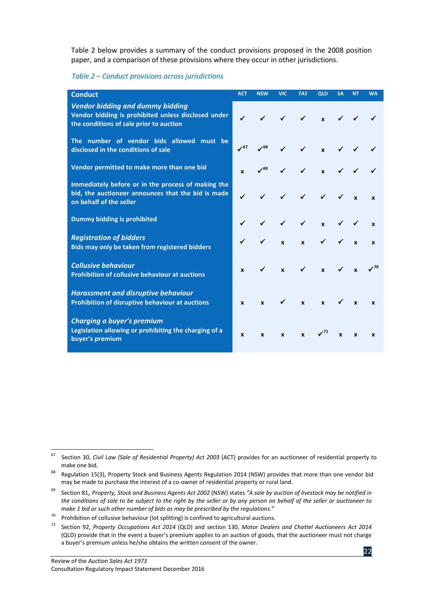Table 2 below provides a summary of the conduct provisions proposed in the 2008 position paper, and a comparison of these provisions where they occur in other jurisdictions.

*Table 2 – Conduct provisions across jurisdictions*

| <b>Conduct</b>                                                                                                                            | <b>ACT</b>   | <b>NSW</b>                 | <b>VIC</b>   | <b>TAS</b>                                                       | <b>QLD</b>                 | <b>SA</b>      | <b>NT</b>    | <b>WA</b>    |
|-------------------------------------------------------------------------------------------------------------------------------------------|--------------|----------------------------|--------------|------------------------------------------------------------------|----------------------------|----------------|--------------|--------------|
| <b>Vendor bidding and dummy bidding</b><br>Vendor bidding is prohibited unless disclosed under<br>the conditions of sale prior to auction | $\checkmark$ | $\checkmark$               |              | $\checkmark$ $\checkmark$ $\checkmark$ $\checkmark$ $\checkmark$ |                            |                |              |              |
| The number of vendor bids allowed must be<br>disclosed in the conditions of sale                                                          | $\sqrt{67}$  | $\checkmark$ <sup>68</sup> | $\checkmark$ | $\checkmark$                                                     | $\mathbf{x}$               |                | $\checkmark$ |              |
| Vendor permitted to make more than one bid                                                                                                |              | $\checkmark$ <sup>69</sup> | $\checkmark$ | $\checkmark$                                                     | $\mathbf{x}$               |                | $\checkmark$ |              |
| Immediately before or in the process of making the<br>bid, the auctioneer announces that the bid is made<br>on behalf of the seller       |              |                            | $\checkmark$ | $\checkmark$                                                     | $\sqrt{2}$                 |                |              | $\mathbf{x}$ |
| <b>Dummy bidding is prohibited</b>                                                                                                        |              |                            | $\checkmark$ | $\checkmark$                                                     | $\mathbf{x}$               |                |              | $\mathbf{x}$ |
| <b>Registration of bidders</b><br>Bids may only be taken from registered bidders                                                          |              |                            | $\mathbf{x}$ | $\mathbf{x}$                                                     | $\checkmark$ $\checkmark$  |                | $\mathbf{x}$ | $\mathbf{x}$ |
| <b>Collusive behaviour</b><br><b>Prohibition of collusive behaviour at auctions</b>                                                       | x            | $\checkmark$               | $\mathbf{x}$ | $\checkmark$                                                     | $\mathbf{x}$               | $\checkmark$ x |              |              |
| <b>Harassment and disruptive behaviour</b><br>Prohibition of disruptive behaviour at auctions                                             | $\mathbf{x}$ | $\mathbf{x}$               | $\checkmark$ | $\mathbf{x}$                                                     | $\mathbf x$                |                | $\mathbf{x}$ | $\mathbf{x}$ |
| Charging a buyer's premium<br>Legislation allowing or prohibiting the charging of a<br>buyer's premium                                    | $\mathbf{x}$ | $\mathbf{x}$               | X            | $\mathbf{x}$                                                     | $\checkmark$ <sup>71</sup> | $\mathbf{x}$   | $\mathbf{x}$ | $\mathbf{x}$ |

<span id="page-30-0"></span><sup>67</sup> Section 30, *Civil Law (Sale of Residential Property) Act 2003* (ACT) provides for an auctioneer of residential property to make one bid.

<span id="page-30-1"></span><sup>&</sup>lt;sup>68</sup> Regulation 15(3), Property Stock and Business Agents Regulation 2014 (NSW) provides that more than one vendor bid may be made to purchase the interest of a co-owner of residential property or rural land.

<span id="page-30-2"></span><sup>69</sup> Section 81, *Property, Stock and Business Agents Act 2002* (NSW) states *"A sale by auction of livestock may be notified in the conditions of sale to be subject to the right by the seller or by any person on behalf of the seller or auctioneer to make 1 bid or such other number of bids as may be prescribed by the regulations."*

<span id="page-30-3"></span> $70$  Prohibition of collusive behaviour (lot splitting) is confined to agricultural auctions.

<span id="page-30-4"></span><sup>71</sup> Section 92, *Property Occupations Act 2014* (QLD) and section 130, *Motor Dealers and Chattel Auctioneers Act 2014* (QLD) provide that in the event a buyer's premium applies to an auction of goods, that the auctioneer must not charge a buyer's premium unless he/she obtains the written consent of the owner.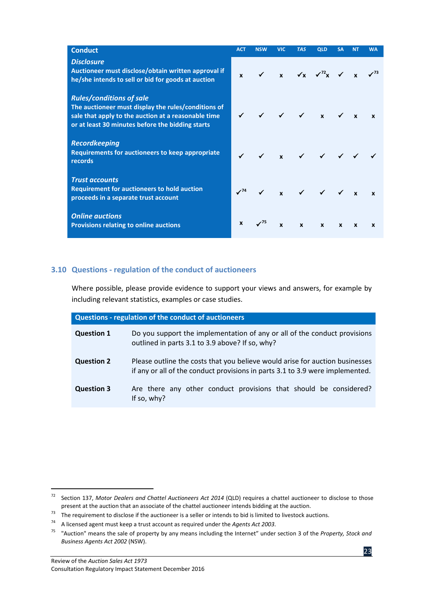| <b>Conduct</b>                                                                                                                                                                                    | <b>ACT</b>       | <b>NSW</b>                 | <b>VIC</b>   | <b>TAS</b>   | <b>QLD</b>                                                                                                | <b>SA</b>    | <b>NT</b>    | <b>WA</b>    |
|---------------------------------------------------------------------------------------------------------------------------------------------------------------------------------------------------|------------------|----------------------------|--------------|--------------|-----------------------------------------------------------------------------------------------------------|--------------|--------------|--------------|
| <b>Disclosure</b><br>Auctioneer must disclose/obtain written approval if<br>he/she intends to sell or bid for goods at auction                                                                    | $\mathbf{x}$     | $\checkmark$               |              |              | $\mathbf{x}$ $\checkmark \mathbf{x}$ $\checkmark'^2 \mathbf{x}$ $\checkmark$ $\mathbf{x}$ $\checkmark'^3$ |              |              |              |
| <b>Rules/conditions of sale</b><br>The auctioneer must display the rules/conditions of<br>sale that apply to the auction at a reasonable time<br>or at least 30 minutes before the bidding starts |                  |                            |              |              | $\checkmark$ $\checkmark$ $\checkmark$ $\checkmark$                                                       |              | $\mathbf{x}$ | $\mathbf{x}$ |
| <b>Recordkeeping</b><br><b>Requirements for auctioneers to keep appropriate</b><br><b>records</b>                                                                                                 |                  |                            |              |              | $x \sim 1$                                                                                                |              |              |              |
| <b>Trust accounts</b><br><b>Requirement for auctioneers to hold auction</b><br>proceeds in a separate trust account                                                                               | $\sqrt{74}$      |                            |              |              | $x \times \sqrt{x}$                                                                                       |              |              |              |
| <b>Online auctions</b><br><b>Provisions relating to online auctions</b>                                                                                                                           | $\boldsymbol{x}$ | $\checkmark$ <sup>75</sup> | $\mathbf{x}$ | $\mathbf{x}$ | $\mathbf{x}$                                                                                              | $\mathbf{x}$ | $\mathbf{x}$ | $\mathbf{x}$ |

#### <span id="page-31-0"></span>**3.10 Questions - regulation of the conduct of auctioneers**

Where possible, please provide evidence to support your views and answers, for example by including relevant statistics, examples or case studies.

| <b>Questions - regulation of the conduct of auctioneers</b> |                                                                                                                                                               |  |  |  |
|-------------------------------------------------------------|---------------------------------------------------------------------------------------------------------------------------------------------------------------|--|--|--|
| <b>Question 1</b>                                           | Do you support the implementation of any or all of the conduct provisions<br>outlined in parts 3.1 to 3.9 above? If so, why?                                  |  |  |  |
| <b>Question 2</b>                                           | Please outline the costs that you believe would arise for auction businesses<br>if any or all of the conduct provisions in parts 3.1 to 3.9 were implemented. |  |  |  |
| <b>Question 3</b>                                           | Are there any other conduct provisions that should be considered?<br>If so, $why?$                                                                            |  |  |  |

<span id="page-31-1"></span> <sup>72</sup> Section 137, *Motor Dealers and Chattel Auctioneers Act 2014* (QLD) requires a chattel auctioneer to disclose to those

<span id="page-31-2"></span>present at the auction that an associate of the chattel auctioneer intends bidding at the auction.<br><sup>73</sup> The requirement to disclose if the auctioneer is a seller or intends to bid is limited to livestock auctions.<br><sup>74</sup> A l

<span id="page-31-4"></span><span id="page-31-3"></span><sup>75</sup> "Auction" means the sale of property by any means including the Internet" under section 3 of the *Property, Stock and Business Agents Act 2002* (NSW).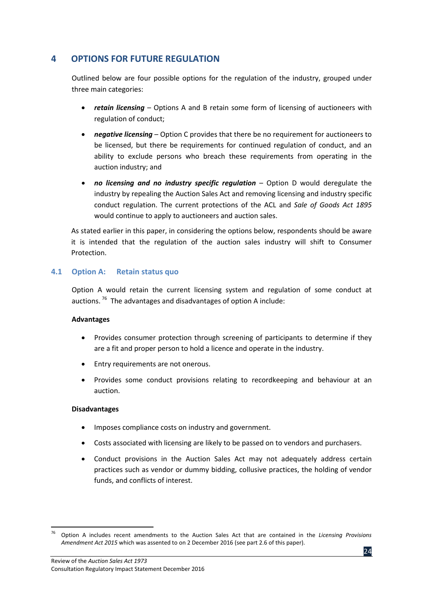## <span id="page-32-0"></span>**4 OPTIONS FOR FUTURE REGULATION**

Outlined below are four possible options for the regulation of the industry, grouped under three main categories:

- *retain licensing* Options A and B retain some form of licensing of auctioneers with regulation of conduct;
- *negative licensing* Option C provides that there be no requirement for auctioneers to be licensed, but there be requirements for continued regulation of conduct, and an ability to exclude persons who breach these requirements from operating in the auction industry; and
- *no licensing and no industry specific regulation* Option D would deregulate the industry by repealing the Auction Sales Act and removing licensing and industry specific conduct regulation. The current protections of the ACL and *Sale of Goods Act 1895* would continue to apply to auctioneers and auction sales.

As stated earlier in this paper, in considering the options below, respondents should be aware it is intended that the regulation of the auction sales industry will shift to Consumer Protection.

#### <span id="page-32-1"></span>**4.1 Option A: Retain status quo**

Option A would retain the current licensing system and regulation of some conduct at auctions.  $76$  The advantages and disadvantages of option A include:

#### **Advantages**

- Provides consumer protection through screening of participants to determine if they are a fit and proper person to hold a licence and operate in the industry.
- Entry requirements are not onerous.
- Provides some conduct provisions relating to recordkeeping and behaviour at an auction.

#### **Disadvantages**

- Imposes compliance costs on industry and government.
- Costs associated with licensing are likely to be passed on to vendors and purchasers.
- Conduct provisions in the Auction Sales Act may not adequately address certain practices such as vendor or dummy bidding, collusive practices, the holding of vendor funds, and conflicts of interest.

<span id="page-32-2"></span> <sup>76</sup> Option A includes recent amendments to the Auction Sales Act that are contained in the *Licensing Provisions Amendment Act 2015* which was assented to on 2 December 2016 (see part 2.6 of this paper).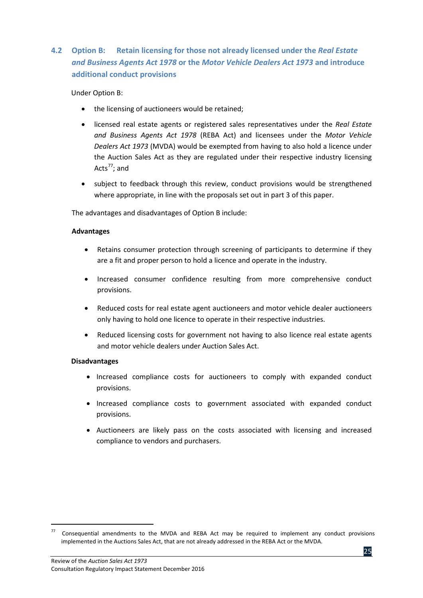## <span id="page-33-0"></span>**4.2 Option B: Retain licensing for those not already licensed under the** *Real Estate and Business Agents Act 1978* **or the** *Motor Vehicle Dealers Act 1973* **and introduce additional conduct provisions**

#### Under Option B:

- the licensing of auctioneers would be retained;
- licensed real estate agents or registered sales representatives under the *Real Estate and Business Agents Act 1978* (REBA Act) and licensees under the *Motor Vehicle Dealers Act 1973* (MVDA) would be exempted from having to also hold a licence under the Auction Sales Act as they are regulated under their respective industry licensing Acts $^{77}$  $^{77}$  $^{77}$ ; and
- subject to feedback through this review, conduct provisions would be strengthened where appropriate, in line with the proposals set out in part 3 of this paper.

The advantages and disadvantages of Option B include:

#### **Advantages**

- Retains consumer protection through screening of participants to determine if they are a fit and proper person to hold a licence and operate in the industry.
- Increased consumer confidence resulting from more comprehensive conduct provisions.
- Reduced costs for real estate agent auctioneers and motor vehicle dealer auctioneers only having to hold one licence to operate in their respective industries.
- Reduced licensing costs for government not having to also licence real estate agents and motor vehicle dealers under Auction Sales Act.

#### **Disadvantages**

- Increased compliance costs for auctioneers to comply with expanded conduct provisions.
- Increased compliance costs to government associated with expanded conduct provisions.
- Auctioneers are likely pass on the costs associated with licensing and increased compliance to vendors and purchasers.

<span id="page-33-1"></span> $77$  Consequential amendments to the MVDA and REBA Act may be required to implement any conduct provisions implemented in the Auctions Sales Act, that are not already addressed in the REBA Act or the MVDA.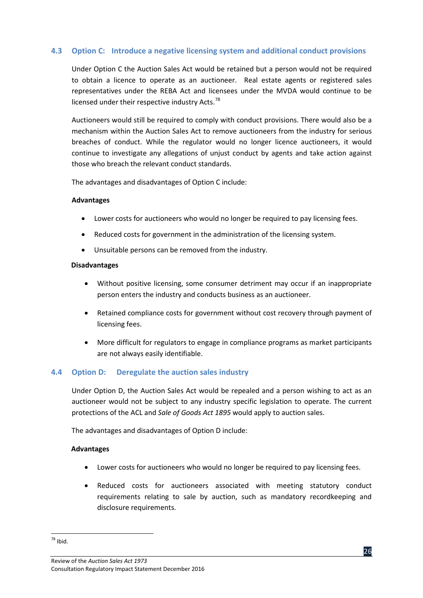#### <span id="page-34-0"></span>**4.3 Option C: Introduce a negative licensing system and additional conduct provisions**

Under Option C the Auction Sales Act would be retained but a person would not be required to obtain a licence to operate as an auctioneer. Real estate agents or registered sales representatives under the REBA Act and licensees under the MVDA would continue to be licensed under their respective industry Acts.<sup>78</sup>

Auctioneers would still be required to comply with conduct provisions. There would also be a mechanism within the Auction Sales Act to remove auctioneers from the industry for serious breaches of conduct. While the regulator would no longer licence auctioneers, it would continue to investigate any allegations of unjust conduct by agents and take action against those who breach the relevant conduct standards.

The advantages and disadvantages of Option C include:

#### **Advantages**

- Lower costs for auctioneers who would no longer be required to pay licensing fees.
- Reduced costs for government in the administration of the licensing system.
- Unsuitable persons can be removed from the industry.

#### **Disadvantages**

- Without positive licensing, some consumer detriment may occur if an inappropriate person enters the industry and conducts business as an auctioneer.
- Retained compliance costs for government without cost recovery through payment of licensing fees.
- More difficult for regulators to engage in compliance programs as market participants are not always easily identifiable.

#### <span id="page-34-1"></span>**4.4 Option D: Deregulate the auction sales industry**

Under Option D, the Auction Sales Act would be repealed and a person wishing to act as an auctioneer would not be subject to any industry specific legislation to operate. The current protections of the ACL and *Sale of Goods Act 1895* would apply to auction sales.

The advantages and disadvantages of Option D include:

#### **Advantages**

- Lower costs for auctioneers who would no longer be required to pay licensing fees.
- Reduced costs for auctioneers associated with meeting statutory conduct requirements relating to sale by auction, such as mandatory recordkeeping and disclosure requirements.

<span id="page-34-2"></span><sup>78</sup> Ibid.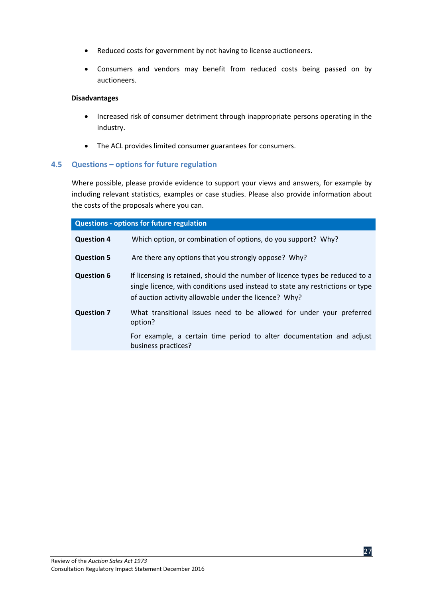- Reduced costs for government by not having to license auctioneers.
- Consumers and vendors may benefit from reduced costs being passed on by auctioneers.

#### **Disadvantages**

- Increased risk of consumer detriment through inappropriate persons operating in the industry.
- The ACL provides limited consumer guarantees for consumers.

#### <span id="page-35-0"></span>**4.5 Questions – options for future regulation**

Where possible, please provide evidence to support your views and answers, for example by including relevant statistics, examples or case studies. Please also provide information about the costs of the proposals where you can.

| <b>Questions - options for future regulation</b> |                                                                                                                                                                                                                         |  |  |  |  |
|--------------------------------------------------|-------------------------------------------------------------------------------------------------------------------------------------------------------------------------------------------------------------------------|--|--|--|--|
| <b>Question 4</b>                                | Which option, or combination of options, do you support? Why?                                                                                                                                                           |  |  |  |  |
| <b>Question 5</b>                                | Are there any options that you strongly oppose? Why?                                                                                                                                                                    |  |  |  |  |
| <b>Question 6</b>                                | If licensing is retained, should the number of licence types be reduced to a<br>single licence, with conditions used instead to state any restrictions or type<br>of auction activity allowable under the licence? Why? |  |  |  |  |
| <b>Question 7</b>                                | What transitional issues need to be allowed for under your preferred<br>option?                                                                                                                                         |  |  |  |  |
|                                                  | For example, a certain time period to alter documentation and adjust<br>business practices?                                                                                                                             |  |  |  |  |

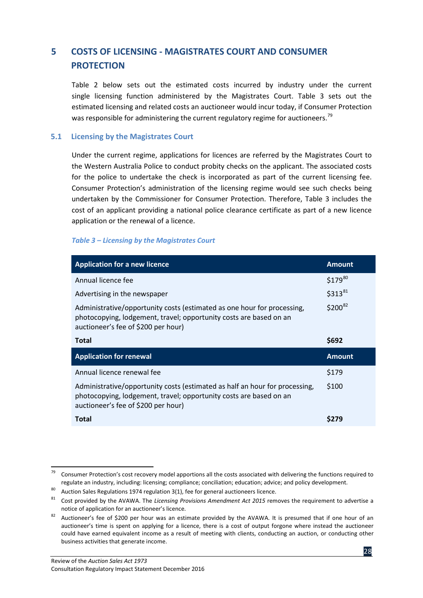## <span id="page-36-0"></span>**5 COSTS OF LICENSING - MAGISTRATES COURT AND CONSUMER PROTECTION**

Table 2 below sets out the estimated costs incurred by industry under the current single licensing function administered by the Magistrates Court. Table 3 sets out the estimated licensing and related costs an auctioneer would incur today, if Consumer Protection was responsible for administering the current regulatory regime for auctioneers.<sup>[79](#page-36-2)</sup>

#### <span id="page-36-1"></span>**5.1 Licensing by the Magistrates Court**

Under the current regime, applications for licences are referred by the Magistrates Court to the Western Australia Police to conduct probity checks on the applicant. The associated costs for the police to undertake the check is incorporated as part of the current licensing fee. Consumer Protection's administration of the licensing regime would see such checks being undertaken by the Commissioner for Consumer Protection. Therefore, Table 3 includes the cost of an applicant providing a national police clearance certificate as part of a new licence application or the renewal of a licence.

#### *Table 3 – Licensing by the Magistrates Court*

| <b>Application for a new licence</b>                                                                                                                                                     | <b>Amount</b> |
|------------------------------------------------------------------------------------------------------------------------------------------------------------------------------------------|---------------|
| Annual licence fee                                                                                                                                                                       | $$179^{80}$   |
| Advertising in the newspaper                                                                                                                                                             | $$313^{81}$   |
| Administrative/opportunity costs (estimated as one hour for processing,<br>photocopying, lodgement, travel; opportunity costs are based on an<br>auctioneer's fee of \$200 per hour)     | $$200^{82}$   |
| Total                                                                                                                                                                                    | \$692         |
| <b>Application for renewal</b>                                                                                                                                                           | <b>Amount</b> |
| Annual licence renewal fee                                                                                                                                                               | \$179         |
| Administrative/opportunity costs (estimated as half an hour for processing,<br>photocopying, lodgement, travel; opportunity costs are based on an<br>auctioneer's fee of \$200 per hour) | \$100         |
| Total                                                                                                                                                                                    | S279          |

<span id="page-36-2"></span><sup>&</sup>lt;sup>79</sup> Consumer Protection's cost recovery model apportions all the costs associated with delivering the functions required to regulate an industry, including: licensing; compliance; conciliation; education; advice; and policy development.

<span id="page-36-4"></span><span id="page-36-3"></span><sup>80</sup> Auction Sales Regulations 1974 regulation 3(1), fee for general auctioneers licence.<br><sup>81</sup> Cost provided by the AVAWA. The *Licensing Provisions Amendment Act 2015* removes the requirement to advertise a notice of application for an auctioneer's licence.

<span id="page-36-5"></span><sup>&</sup>lt;sup>82</sup> Auctioneer's fee of \$200 per hour was an estimate provided by the AVAWA. It is presumed that if one hour of an auctioneer's time is spent on applying for a licence, there is a cost of output forgone where instead the auctioneer could have earned equivalent income as a result of meeting with clients, conducting an auction, or conducting other business activities that generate income.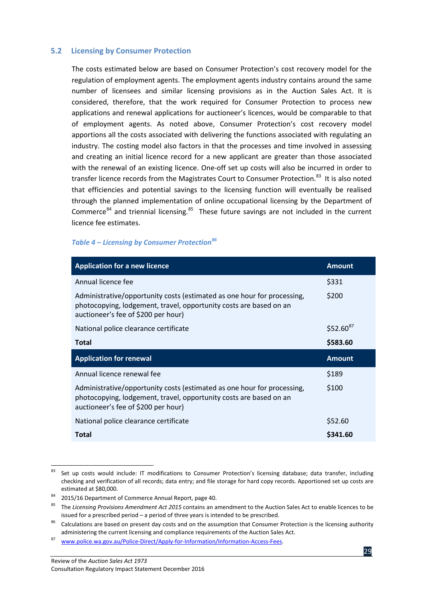#### <span id="page-37-0"></span>**5.2 Licensing by Consumer Protection**

The costs estimated below are based on Consumer Protection's cost recovery model for the regulation of employment agents. The employment agents industry contains around the same number of licensees and similar licensing provisions as in the Auction Sales Act. It is considered, therefore, that the work required for Consumer Protection to process new applications and renewal applications for auctioneer's licences, would be comparable to that of employment agents. As noted above, Consumer Protection's cost recovery model apportions all the costs associated with delivering the functions associated with regulating an industry. The costing model also factors in that the processes and time involved in assessing and creating an initial licence record for a new applicant are greater than those associated with the renewal of an existing licence. One-off set up costs will also be incurred in order to transfer licence records from the Magistrates Court to Consumer Protection.<sup>[83](#page-37-1)</sup> It is also noted that efficiencies and potential savings to the licensing function will eventually be realised through the planned implementation of online occupational licensing by the Department of Commerce $^{84}$  $^{84}$  $^{84}$  and triennial licensing. $^{85}$  $^{85}$  $^{85}$  These future savings are not included in the current licence fee estimates.

#### *Table 4 – Licensing by Consumer Protection[86](#page-37-4)*

| <b>Application for a new licence</b>                                                                                                                                                 | <b>Amount</b> |
|--------------------------------------------------------------------------------------------------------------------------------------------------------------------------------------|---------------|
| Annual licence fee                                                                                                                                                                   | \$331         |
| Administrative/opportunity costs (estimated as one hour for processing,<br>photocopying, lodgement, travel, opportunity costs are based on an<br>auctioneer's fee of \$200 per hour) | \$200         |
| National police clearance certificate                                                                                                                                                | $$52.60^{87}$ |
| Total                                                                                                                                                                                | \$583.60      |
|                                                                                                                                                                                      |               |
| <b>Application for renewal</b>                                                                                                                                                       | <b>Amount</b> |
| Annual licence renewal fee                                                                                                                                                           | \$189         |
| Administrative/opportunity costs (estimated as one hour for processing,<br>photocopying, lodgement, travel, opportunity costs are based on an<br>auctioneer's fee of \$200 per hour) | \$100         |
| National police clearance certificate                                                                                                                                                | \$52.60       |

<span id="page-37-1"></span><sup>83</sup> Set up costs would include: IT modifications to Consumer Protection's licensing database; data transfer, including checking and verification of all records; data entry; and file storage for hard copy records. Apportioned set up costs are estimated at \$80,000.

<span id="page-37-2"></span><sup>84 2015/16</sup> Department of Commerce Annual Report, page 40.

<span id="page-37-3"></span><sup>85</sup> The *Licensing Provisions Amendment Act 2015* contains an amendment to the Auction Sales Act to enable licences to be issued for a prescribed period – a period of three years is intended to be prescribed.

<span id="page-37-4"></span>Calculations are based on present day costs and on the assumption that Consumer Protection is the licensing authority administering the current licensing and compliance requirements of the Auction Sales Act.<br><sup>87</sup> [www.police.wa.gov.au/Police-Direct/Apply-for-Information/Information-Access-Fees.](http://www.police.wa.gov.au/Police-Direct/Apply-for-Information/Information-Access-Fees)

<span id="page-37-5"></span>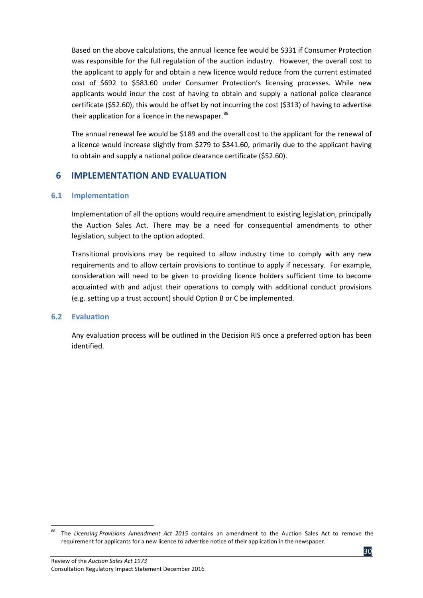Based on the above calculations, the annual licence fee would be \$331 if Consumer Protection was responsible for the full regulation of the auction industry. However, the overall cost to the applicant to apply for and obtain a new licence would reduce from the current estimated cost of \$692 to \$583.60 under Consumer Protection's licensing processes. While new applicants would incur the cost of having to obtain and supply a national police clearance certificate (\$52.60), this would be offset by not incurring the cost (\$313) of having to advertise their application for a licence in the newspaper.<sup>[88](#page-38-3)</sup>

The annual renewal fee would be \$189 and the overall cost to the applicant for the renewal of a licence would increase slightly from \$279 to \$341.60, primarily due to the applicant having to obtain and supply a national police clearance certificate (\$52.60).

## <span id="page-38-0"></span>**6 IMPLEMENTATION AND EVALUATION**

#### <span id="page-38-1"></span>**6.1 Implementation**

Implementation of all the options would require amendment to existing legislation, principally the Auction Sales Act. There may be a need for consequential amendments to other legislation, subject to the option adopted.

Transitional provisions may be required to allow industry time to comply with any new requirements and to allow certain provisions to continue to apply if necessary. For example, consideration will need to be given to providing licence holders sufficient time to become acquainted with and adjust their operations to comply with additional conduct provisions (e.g. setting up a trust account) should Option B or C be implemented.

#### <span id="page-38-2"></span>**6.2 Evaluation**

Any evaluation process will be outlined in the Decision RIS once a preferred option has been identified.

<span id="page-38-3"></span> <sup>88</sup> The *Licensing Provisions Amendment Act 2015* contains an amendment to the Auction Sales Act to remove the requirement for applicants for a new licence to advertise notice of their application in the newspaper.